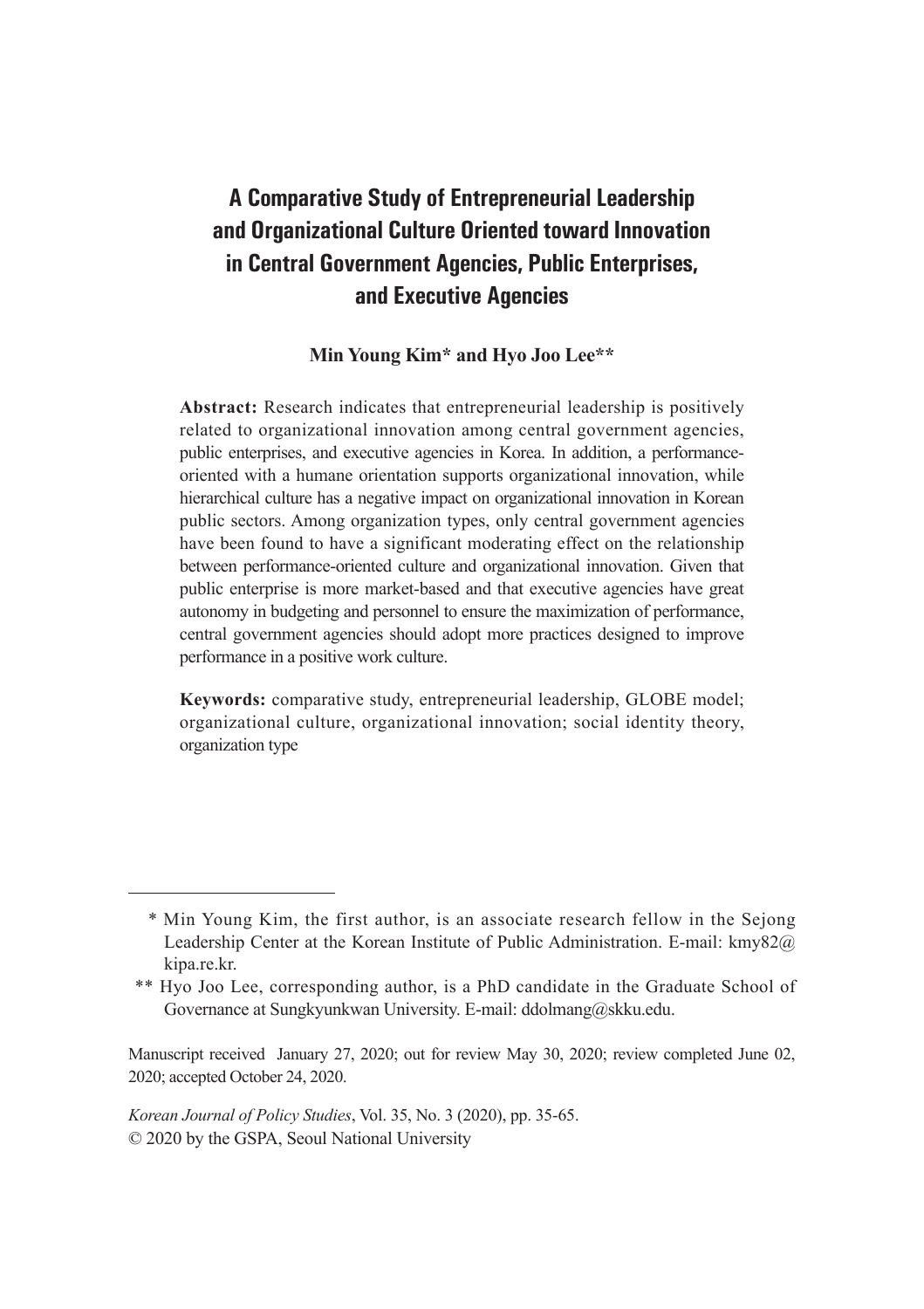# **A Comparative Study of Entrepreneurial Leadership and Organizational Culture Oriented toward Innovation in Central Government Agencies, Public Enterprises, and Executive Agencies**

### **Min Young Kim\* and Hyo Joo Lee\*\***

**Abstract:** Research indicates that entrepreneurial leadership is positively related to organizational innovation among central government agencies, public enterprises, and executive agencies in Korea. In addition, a performanceoriented with a humane orientation supports organizational innovation, while hierarchical culture has a negative impact on organizational innovation in Korean public sectors. Among organization types, only central government agencies have been found to have a significant moderating effect on the relationship between performance-oriented culture and organizational innovation. Given that public enterprise is more market-based and that executive agencies have great autonomy in budgeting and personnel to ensure the maximization of performance, central government agencies should adopt more practices designed to improve performance in a positive work culture.

**Keywords:** comparative study, entrepreneurial leadership, GLOBE model; organizational culture, organizational innovation; social identity theory, organization type

 <sup>\*</sup> Min Young Kim, the first author, is an associate research fellow in the Sejong Leadership Center at the Korean Institute of Public Administration. E-mail: kmy82@ kipa.re.kr.

 <sup>\*\*</sup> Hyo Joo Lee, corresponding author, is a PhD candidate in the Graduate School of Governance at Sungkyunkwan University. E-mail: ddolmang@skku.edu.

Manuscript received January 27, 2020; out for review May 30, 2020; review completed June 02, 2020; accepted October 24, 2020.

*Korean Journal of Policy Studies*, Vol. 35, No. 3 (2020), pp. 35-65. © 2020 by the GSPA, Seoul National University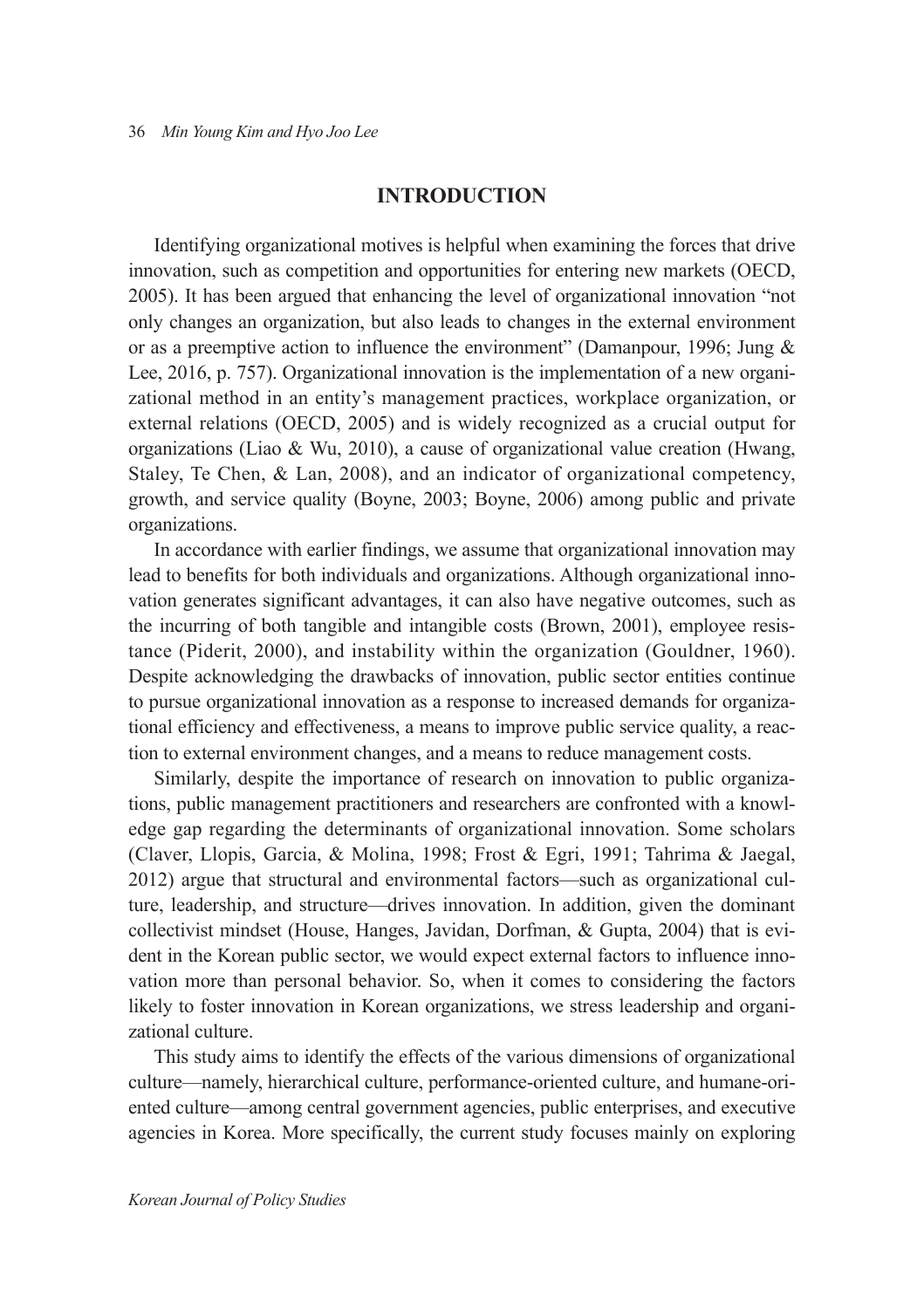#### **INTRODUCTION**

Identifying organizational motives is helpful when examining the forces that drive innovation, such as competition and opportunities for entering new markets (OECD, 2005). It has been argued that enhancing the level of organizational innovation "not only changes an organization, but also leads to changes in the external environment or as a preemptive action to influence the environment" (Damanpour, 1996; Jung & Lee, 2016, p. 757). Organizational innovation is the implementation of a new organizational method in an entity's management practices, workplace organization, or external relations (OECD, 2005) and is widely recognized as a crucial output for organizations (Liao & Wu, 2010), a cause of organizational value creation (Hwang, Staley, Te Chen, & Lan, 2008), and an indicator of organizational competency, growth, and service quality (Boyne, 2003; Boyne, 2006) among public and private organizations.

In accordance with earlier findings, we assume that organizational innovation may lead to benefits for both individuals and organizations. Although organizational innovation generates significant advantages, it can also have negative outcomes, such as the incurring of both tangible and intangible costs (Brown, 2001), employee resistance (Piderit, 2000), and instability within the organization (Gouldner, 1960). Despite acknowledging the drawbacks of innovation, public sector entities continue to pursue organizational innovation as a response to increased demands for organizational efficiency and effectiveness, a means to improve public service quality, a reaction to external environment changes, and a means to reduce management costs.

Similarly, despite the importance of research on innovation to public organizations, public management practitioners and researchers are confronted with a knowledge gap regarding the determinants of organizational innovation. Some scholars (Claver, Llopis, Garcia, & Molina, 1998; Frost & Egri, 1991; Tahrima & Jaegal, 2012) argue that structural and environmental factors—such as organizational culture, leadership, and structure—drives innovation. In addition, given the dominant collectivist mindset (House, Hanges, Javidan, Dorfman, & Gupta, 2004) that is evident in the Korean public sector, we would expect external factors to influence innovation more than personal behavior. So, when it comes to considering the factors likely to foster innovation in Korean organizations, we stress leadership and organizational culture.

This study aims to identify the effects of the various dimensions of organizational culture––namely, hierarchical culture, performance-oriented culture, and humane-oriented culture––among central government agencies, public enterprises, and executive agencies in Korea. More specifically, the current study focuses mainly on exploring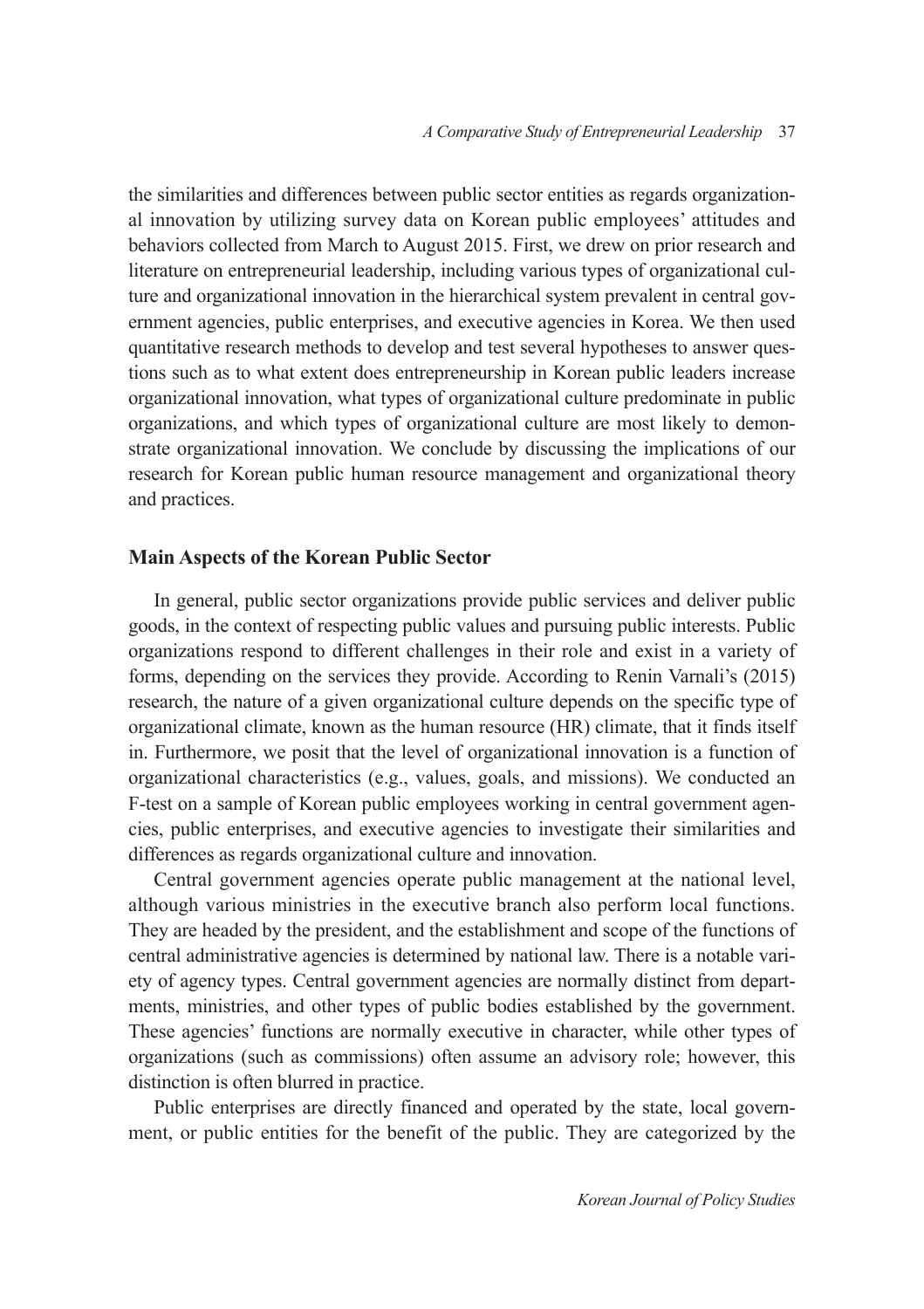the similarities and differences between public sector entities as regards organizational innovation by utilizing survey data on Korean public employees' attitudes and behaviors collected from March to August 2015. First, we drew on prior research and literature on entrepreneurial leadership, including various types of organizational culture and organizational innovation in the hierarchical system prevalent in central government agencies, public enterprises, and executive agencies in Korea. We then used quantitative research methods to develop and test several hypotheses to answer questions such as to what extent does entrepreneurship in Korean public leaders increase organizational innovation, what types of organizational culture predominate in public organizations, and which types of organizational culture are most likely to demonstrate organizational innovation. We conclude by discussing the implications of our research for Korean public human resource management and organizational theory and practices.

#### **Main Aspects of the Korean Public Sector**

In general, public sector organizations provide public services and deliver public goods, in the context of respecting public values and pursuing public interests. Public organizations respond to different challenges in their role and exist in a variety of forms, depending on the services they provide. According to Renin Varnali's (2015) research, the nature of a given organizational culture depends on the specific type of organizational climate, known as the human resource (HR) climate, that it finds itself in. Furthermore, we posit that the level of organizational innovation is a function of organizational characteristics (e.g., values, goals, and missions). We conducted an F-test on a sample of Korean public employees working in central government agencies, public enterprises, and executive agencies to investigate their similarities and differences as regards organizational culture and innovation.

Central government agencies operate public management at the national level, although various ministries in the executive branch also perform local functions. They are headed by the president, and the establishment and scope of the functions of central administrative agencies is determined by national law. There is a notable variety of agency types. Central government agencies are normally distinct from departments, ministries, and other types of public bodies established by the government. These agencies' functions are normally executive in character, while other types of organizations (such as commissions) often assume an advisory role; however, this distinction is often blurred in practice.

Public enterprises are directly financed and operated by the state, local government, or public entities for the benefit of the public. They are categorized by the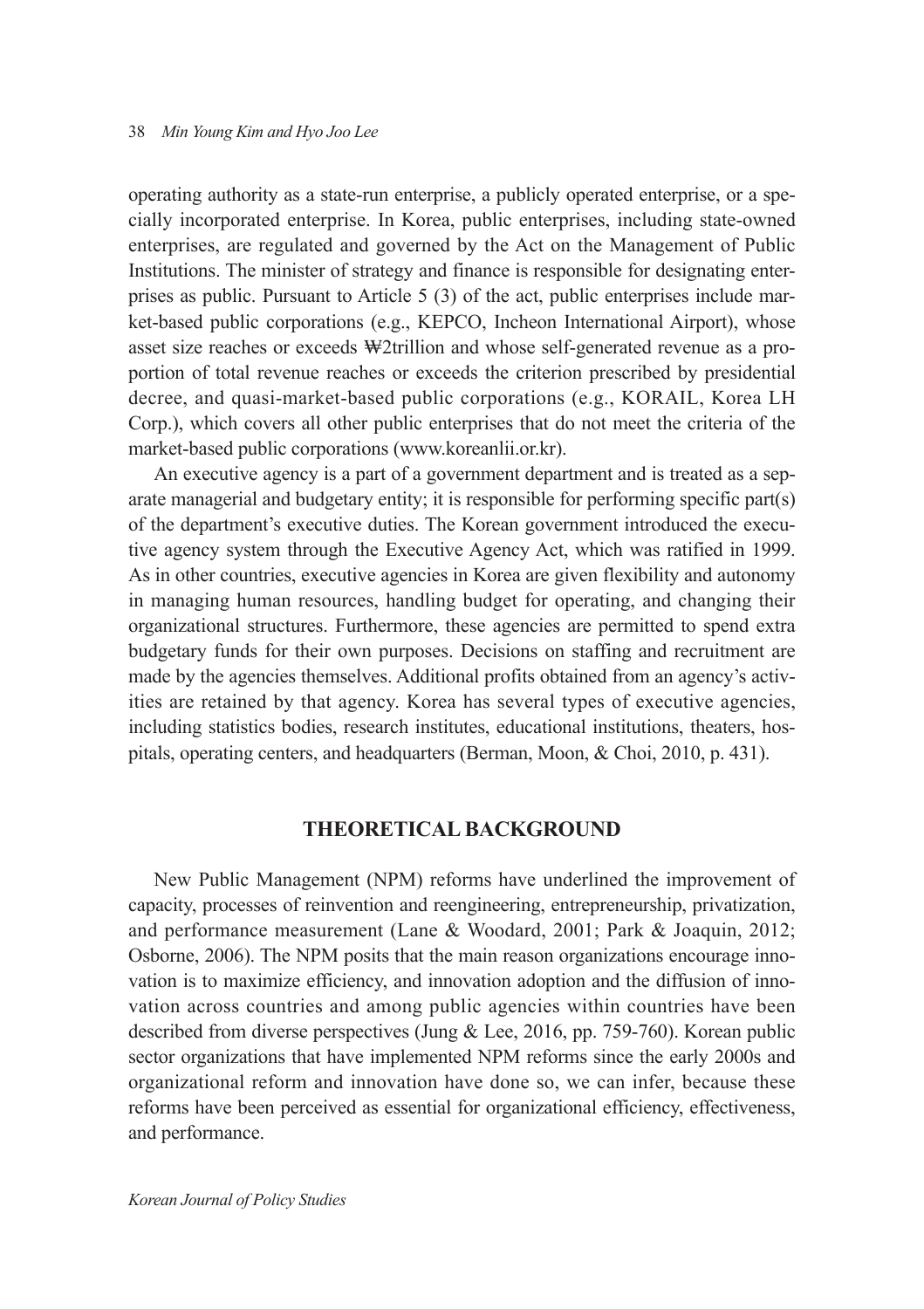operating authority as a state-run enterprise, a publicly operated enterprise, or a specially incorporated enterprise. In Korea, public enterprises, including state-owned enterprises, are regulated and governed by the Act on the Management of Public Institutions. The minister of strategy and finance is responsible for designating enterprises as public. Pursuant to Article 5 (3) of the act, public enterprises include market-based public corporations (e.g., KEPCO, Incheon International Airport), whose asset size reaches or exceeds ₩2trillion and whose self-generated revenue as a proportion of total revenue reaches or exceeds the criterion prescribed by presidential decree, and quasi-market-based public corporations (e.g., KORAIL, Korea LH Corp.), which covers all other public enterprises that do not meet the criteria of the market-based public corporations (www.koreanlii.or.kr).

An executive agency is a part of a government department and is treated as a separate managerial and budgetary entity; it is responsible for performing specific part(s) of the department's executive duties. The Korean government introduced the executive agency system through the Executive Agency Act, which was ratified in 1999. As in other countries, executive agencies in Korea are given flexibility and autonomy in managing human resources, handling budget for operating, and changing their organizational structures. Furthermore, these agencies are permitted to spend extra budgetary funds for their own purposes. Decisions on staffing and recruitment are made by the agencies themselves. Additional profits obtained from an agency's activities are retained by that agency. Korea has several types of executive agencies, including statistics bodies, research institutes, educational institutions, theaters, hospitals, operating centers, and headquarters (Berman, Moon, & Choi, 2010, p. 431).

### **THEORETICAL BACKGROUND**

New Public Management (NPM) reforms have underlined the improvement of capacity, processes of reinvention and reengineering, entrepreneurship, privatization, and performance measurement (Lane & Woodard, 2001; Park & Joaquin, 2012; Osborne, 2006). The NPM posits that the main reason organizations encourage innovation is to maximize efficiency, and innovation adoption and the diffusion of innovation across countries and among public agencies within countries have been described from diverse perspectives (Jung & Lee, 2016, pp. 759-760). Korean public sector organizations that have implemented NPM reforms since the early 2000s and organizational reform and innovation have done so, we can infer, because these reforms have been perceived as essential for organizational efficiency, effectiveness, and performance.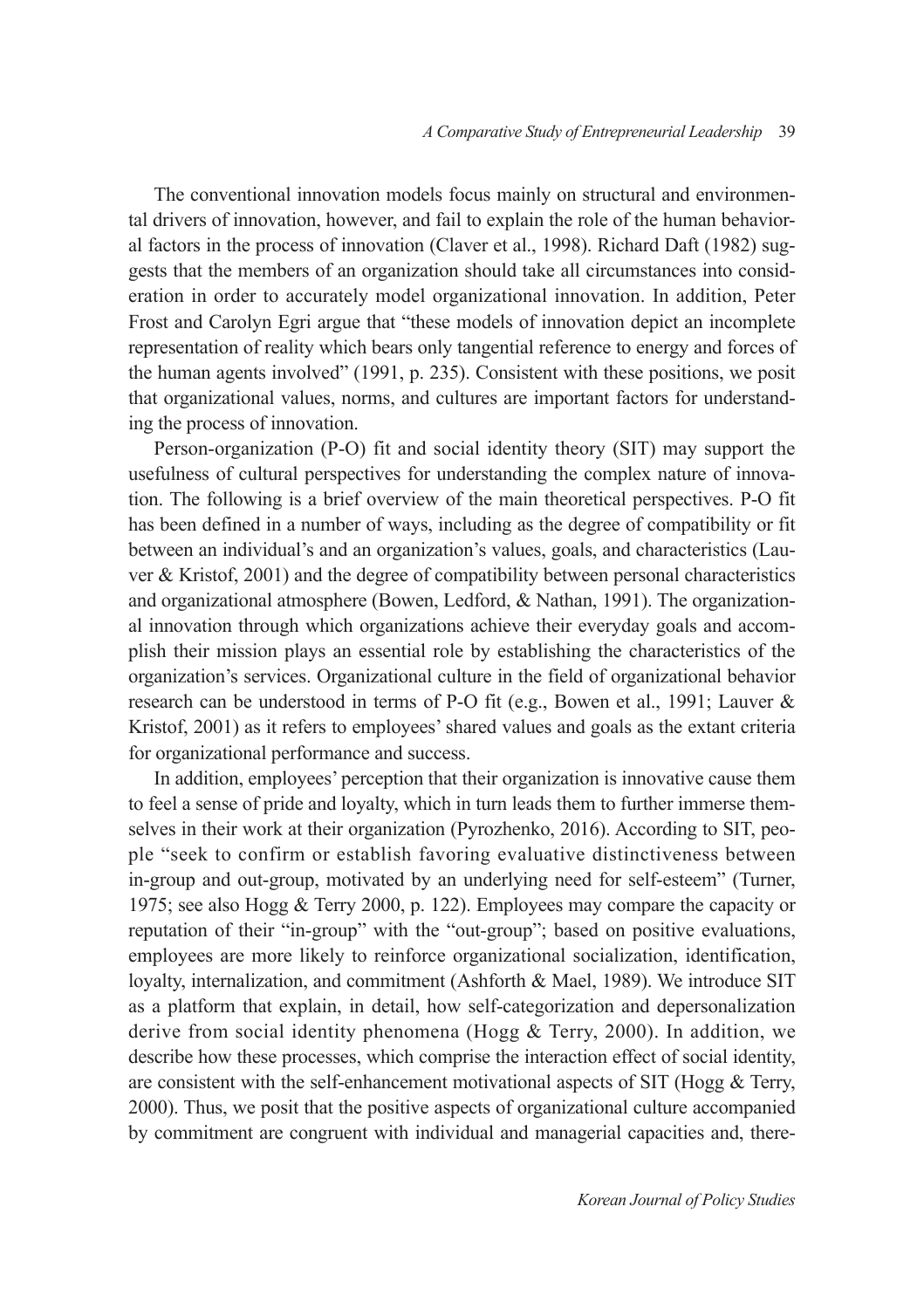The conventional innovation models focus mainly on structural and environmental drivers of innovation, however, and fail to explain the role of the human behavioral factors in the process of innovation (Claver et al., 1998). Richard Daft (1982) suggests that the members of an organization should take all circumstances into consideration in order to accurately model organizational innovation. In addition, Peter Frost and Carolyn Egri argue that "these models of innovation depict an incomplete representation of reality which bears only tangential reference to energy and forces of the human agents involved" (1991, p. 235). Consistent with these positions, we posit that organizational values, norms, and cultures are important factors for understanding the process of innovation.

Person-organization (P-O) fit and social identity theory (SIT) may support the usefulness of cultural perspectives for understanding the complex nature of innovation. The following is a brief overview of the main theoretical perspectives. P-O fit has been defined in a number of ways, including as the degree of compatibility or fit between an individual's and an organization's values, goals, and characteristics (Lauver & Kristof, 2001) and the degree of compatibility between personal characteristics and organizational atmosphere (Bowen, Ledford, & Nathan, 1991). The organizational innovation through which organizations achieve their everyday goals and accomplish their mission plays an essential role by establishing the characteristics of the organization's services. Organizational culture in the field of organizational behavior research can be understood in terms of P-O fit (e.g., Bowen et al., 1991; Lauver & Kristof, 2001) as it refers to employees' shared values and goals as the extant criteria for organizational performance and success.

In addition, employees' perception that their organization is innovative cause them to feel a sense of pride and loyalty, which in turn leads them to further immerse themselves in their work at their organization (Pyrozhenko, 2016). According to SIT, people "seek to confirm or establish favoring evaluative distinctiveness between in-group and out-group, motivated by an underlying need for self-esteem" (Turner, 1975; see also Hogg & Terry 2000, p. 122). Employees may compare the capacity or reputation of their "in-group" with the "out-group"; based on positive evaluations, employees are more likely to reinforce organizational socialization, identification, loyalty, internalization, and commitment (Ashforth & Mael, 1989). We introduce SIT as a platform that explain, in detail, how self-categorization and depersonalization derive from social identity phenomena (Hogg  $&$  Terry, 2000). In addition, we describe how these processes, which comprise the interaction effect of social identity, are consistent with the self-enhancement motivational aspects of SIT (Hogg & Terry, 2000). Thus, we posit that the positive aspects of organizational culture accompanied by commitment are congruent with individual and managerial capacities and, there-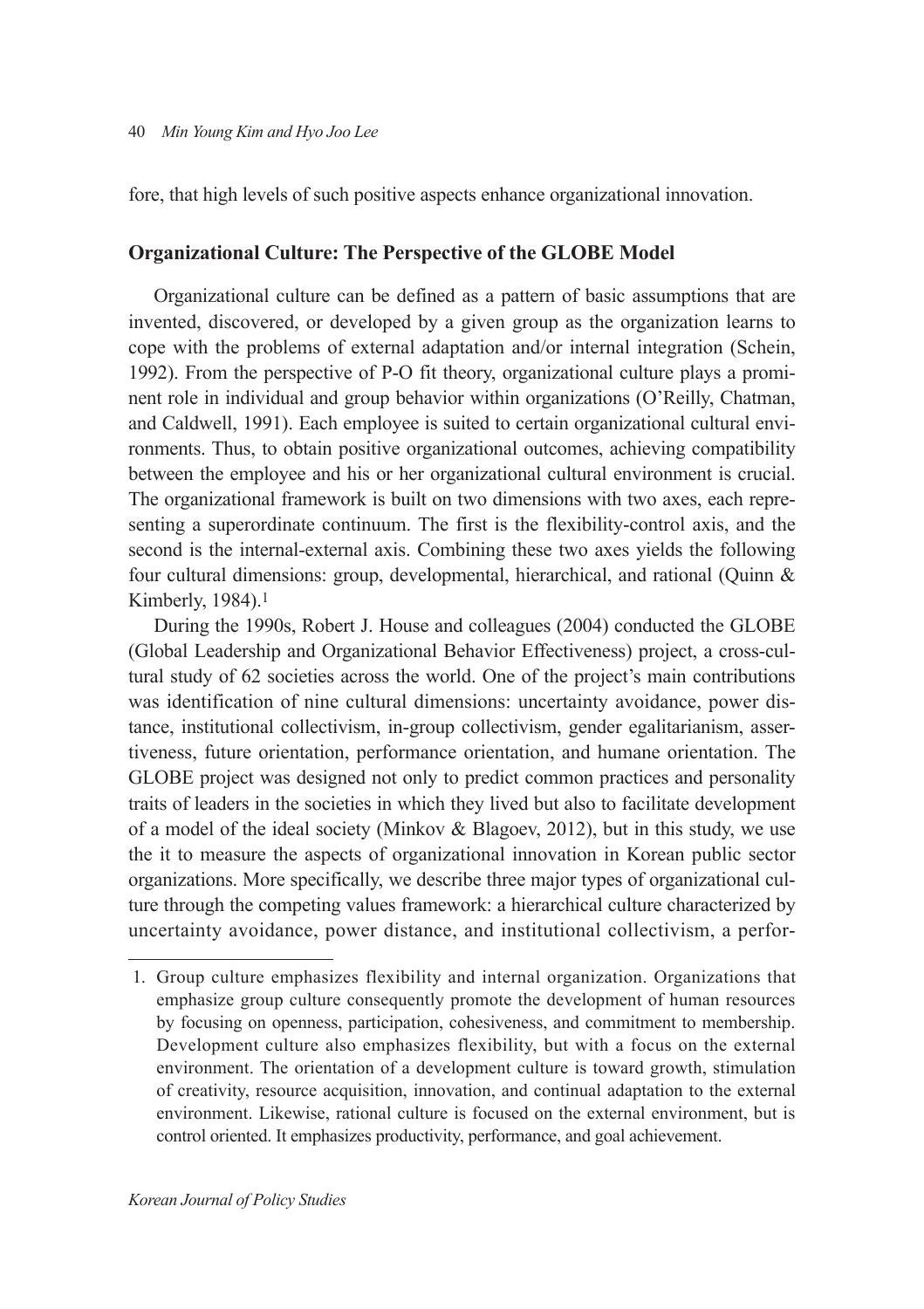fore, that high levels of such positive aspects enhance organizational innovation.

### **Organizational Culture: The Perspective of the GLOBE Model**

Organizational culture can be defined as a pattern of basic assumptions that are invented, discovered, or developed by a given group as the organization learns to cope with the problems of external adaptation and/or internal integration (Schein, 1992). From the perspective of P-O fit theory, organizational culture plays a prominent role in individual and group behavior within organizations (O'Reilly, Chatman, and Caldwell, 1991). Each employee is suited to certain organizational cultural environments. Thus, to obtain positive organizational outcomes, achieving compatibility between the employee and his or her organizational cultural environment is crucial. The organizational framework is built on two dimensions with two axes, each representing a superordinate continuum. The first is the flexibility-control axis, and the second is the internal-external axis. Combining these two axes yields the following four cultural dimensions: group, developmental, hierarchical, and rational (Quinn & Kimberly, 1984).1

During the 1990s, Robert J. House and colleagues (2004) conducted the GLOBE (Global Leadership and Organizational Behavior Effectiveness) project, a cross-cultural study of 62 societies across the world. One of the project's main contributions was identification of nine cultural dimensions: uncertainty avoidance, power distance, institutional collectivism, in-group collectivism, gender egalitarianism, assertiveness, future orientation, performance orientation, and humane orientation. The GLOBE project was designed not only to predict common practices and personality traits of leaders in the societies in which they lived but also to facilitate development of a model of the ideal society (Minkov  $\&$  Blagoev, 2012), but in this study, we use the it to measure the aspects of organizational innovation in Korean public sector organizations. More specifically, we describe three major types of organizational culture through the competing values framework: a hierarchical culture characterized by uncertainty avoidance, power distance, and institutional collectivism, a perfor-

 <sup>1.</sup> Group culture emphasizes flexibility and internal organization. Organizations that emphasize group culture consequently promote the development of human resources by focusing on openness, participation, cohesiveness, and commitment to membership. Development culture also emphasizes flexibility, but with a focus on the external environment. The orientation of a development culture is toward growth, stimulation of creativity, resource acquisition, innovation, and continual adaptation to the external environment. Likewise, rational culture is focused on the external environment, but is control oriented. It emphasizes productivity, performance, and goal achievement.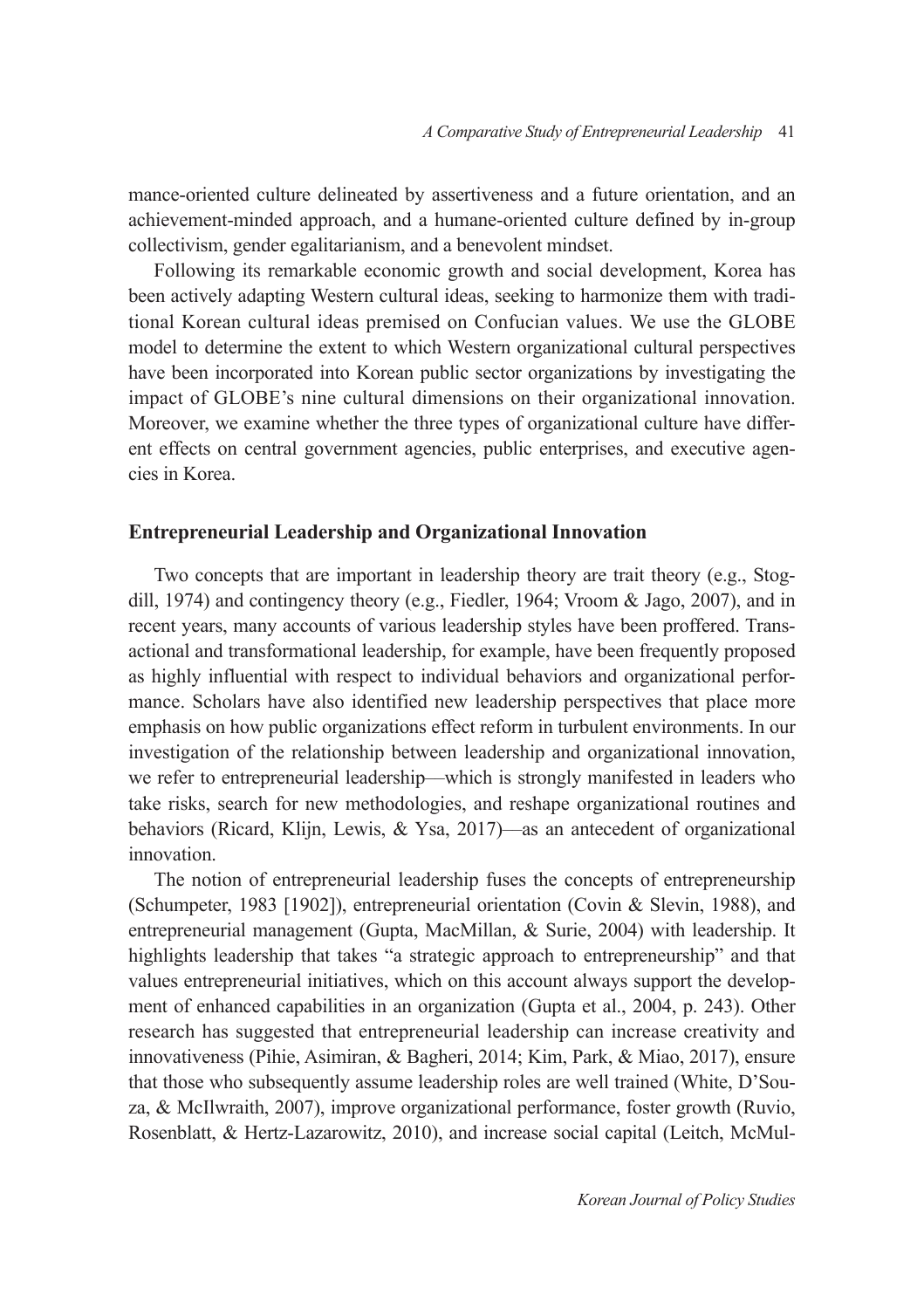mance-oriented culture delineated by assertiveness and a future orientation, and an achievement-minded approach, and a humane-oriented culture defined by in-group collectivism, gender egalitarianism, and a benevolent mindset.

Following its remarkable economic growth and social development, Korea has been actively adapting Western cultural ideas, seeking to harmonize them with traditional Korean cultural ideas premised on Confucian values. We use the GLOBE model to determine the extent to which Western organizational cultural perspectives have been incorporated into Korean public sector organizations by investigating the impact of GLOBE's nine cultural dimensions on their organizational innovation. Moreover, we examine whether the three types of organizational culture have different effects on central government agencies, public enterprises, and executive agencies in Korea.

#### **Entrepreneurial Leadership and Organizational Innovation**

Two concepts that are important in leadership theory are trait theory (e.g., Stogdill, 1974) and contingency theory (e.g., Fiedler, 1964; Vroom & Jago, 2007), and in recent years, many accounts of various leadership styles have been proffered. Transactional and transformational leadership, for example, have been frequently proposed as highly influential with respect to individual behaviors and organizational performance. Scholars have also identified new leadership perspectives that place more emphasis on how public organizations effect reform in turbulent environments. In our investigation of the relationship between leadership and organizational innovation, we refer to entrepreneurial leadership––which is strongly manifested in leaders who take risks, search for new methodologies, and reshape organizational routines and behaviors (Ricard, Klijn, Lewis, & Ysa, 2017)––as an antecedent of organizational innovation.

The notion of entrepreneurial leadership fuses the concepts of entrepreneurship (Schumpeter, 1983 [1902]), entrepreneurial orientation (Covin & Slevin, 1988), and entrepreneurial management (Gupta, MacMillan, & Surie, 2004) with leadership. It highlights leadership that takes "a strategic approach to entrepreneurship" and that values entrepreneurial initiatives, which on this account always support the development of enhanced capabilities in an organization (Gupta et al., 2004, p. 243). Other research has suggested that entrepreneurial leadership can increase creativity and innovativeness (Pihie, Asimiran, & Bagheri, 2014; Kim, Park, & Miao, 2017), ensure that those who subsequently assume leadership roles are well trained (White, D'Souza, & McIlwraith, 2007), improve organizational performance, foster growth (Ruvio, Rosenblatt, & Hertz-Lazarowitz, 2010), and increase social capital (Leitch, McMul-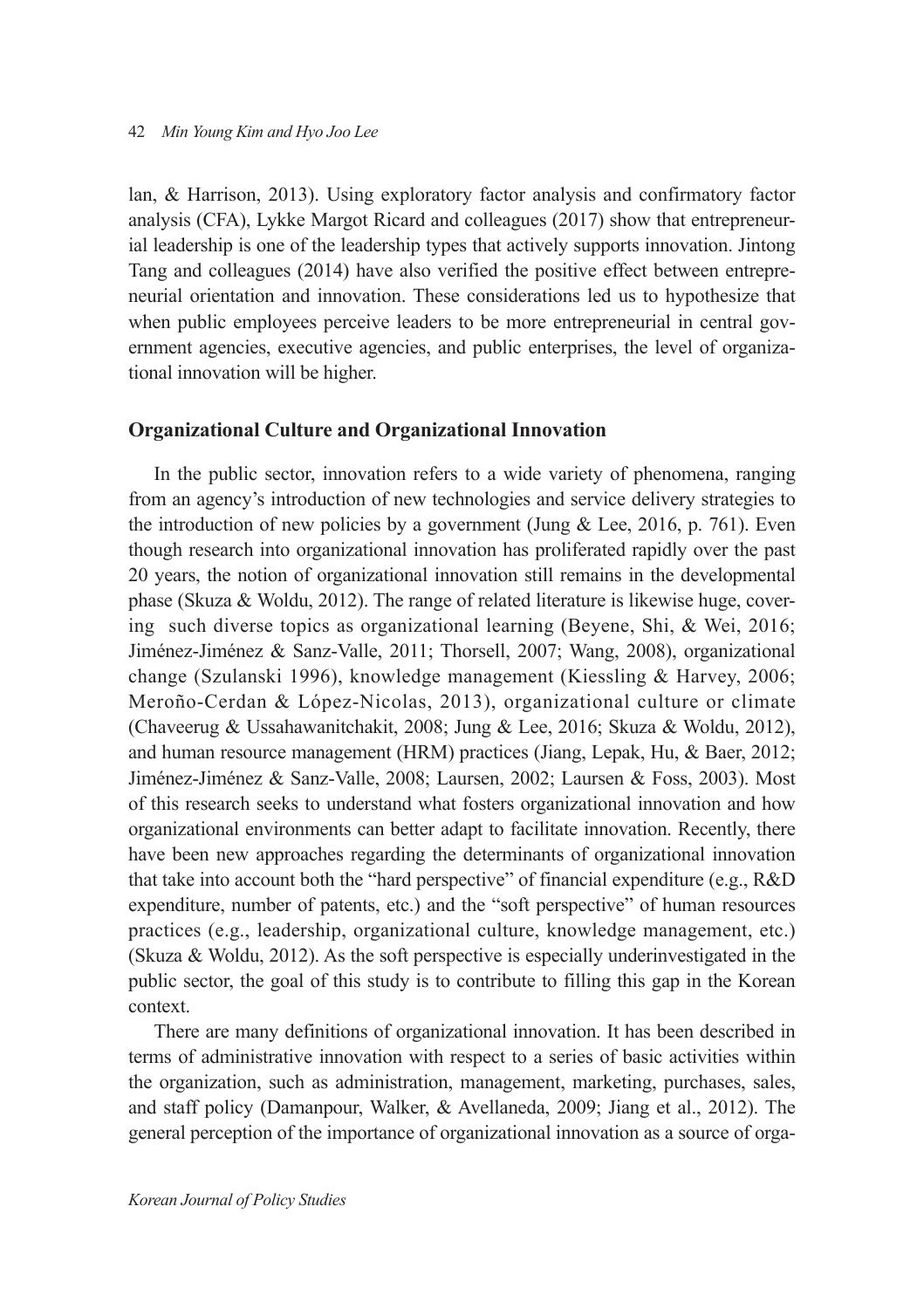lan, & Harrison, 2013). Using exploratory factor analysis and confirmatory factor analysis (CFA), Lykke Margot Ricard and colleagues (2017) show that entrepreneurial leadership is one of the leadership types that actively supports innovation. Jintong Tang and colleagues (2014) have also verified the positive effect between entrepreneurial orientation and innovation. These considerations led us to hypothesize that when public employees perceive leaders to be more entrepreneurial in central government agencies, executive agencies, and public enterprises, the level of organizational innovation will be higher.

#### **Organizational Culture and Organizational Innovation**

In the public sector, innovation refers to a wide variety of phenomena, ranging from an agency's introduction of new technologies and service delivery strategies to the introduction of new policies by a government (Jung  $\&$  Lee, 2016, p. 761). Even though research into organizational innovation has proliferated rapidly over the past 20 years, the notion of organizational innovation still remains in the developmental phase (Skuza & Woldu, 2012). The range of related literature is likewise huge, covering such diverse topics as organizational learning (Beyene, Shi, & Wei, 2016; Jiménez-Jiménez & Sanz-Valle, 2011; Thorsell, 2007; Wang, 2008), organizational change (Szulanski 1996), knowledge management (Kiessling & Harvey, 2006; Meroño-Cerdan & López-Nicolas, 2013), organizational culture or climate (Chaveerug & Ussahawanitchakit, 2008; Jung & Lee, 2016; Skuza & Woldu, 2012), and human resource management (HRM) practices (Jiang, Lepak, Hu, & Baer, 2012; Jiménez-Jiménez & Sanz-Valle, 2008; Laursen, 2002; Laursen & Foss, 2003). Most of this research seeks to understand what fosters organizational innovation and how organizational environments can better adapt to facilitate innovation. Recently, there have been new approaches regarding the determinants of organizational innovation that take into account both the "hard perspective" of financial expenditure (e.g., R&D expenditure, number of patents, etc.) and the "soft perspective" of human resources practices (e.g., leadership, organizational culture, knowledge management, etc.) (Skuza & Woldu, 2012). As the soft perspective is especially underinvestigated in the public sector, the goal of this study is to contribute to filling this gap in the Korean context.

There are many definitions of organizational innovation. It has been described in terms of administrative innovation with respect to a series of basic activities within the organization, such as administration, management, marketing, purchases, sales, and staff policy (Damanpour, Walker, & Avellaneda, 2009; Jiang et al., 2012). The general perception of the importance of organizational innovation as a source of orga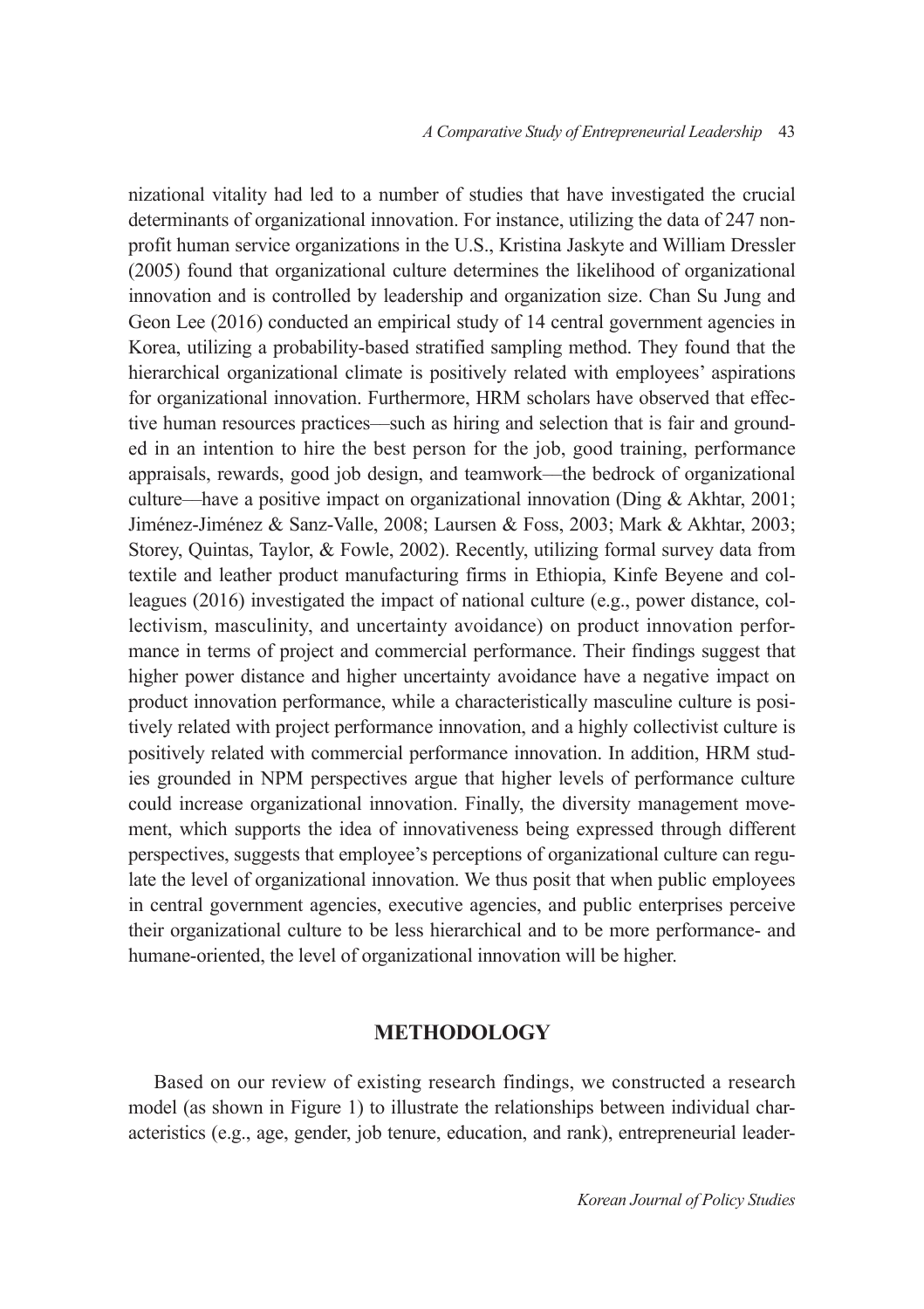nizational vitality had led to a number of studies that have investigated the crucial determinants of organizational innovation. For instance, utilizing the data of 247 nonprofit human service organizations in the U.S., Kristina Jaskyte and William Dressler (2005) found that organizational culture determines the likelihood of organizational innovation and is controlled by leadership and organization size. Chan Su Jung and Geon Lee (2016) conducted an empirical study of 14 central government agencies in Korea, utilizing a probability-based stratified sampling method. They found that the hierarchical organizational climate is positively related with employees' aspirations for organizational innovation. Furthermore, HRM scholars have observed that effective human resources practices––such as hiring and selection that is fair and grounded in an intention to hire the best person for the job, good training, performance appraisals, rewards, good job design, and teamwork––the bedrock of organizational culture––have a positive impact on organizational innovation (Ding & Akhtar, 2001; Jiménez-Jiménez & Sanz-Valle, 2008; Laursen & Foss, 2003; Mark & Akhtar, 2003; Storey, Quintas, Taylor, & Fowle, 2002). Recently, utilizing formal survey data from textile and leather product manufacturing firms in Ethiopia, Kinfe Beyene and colleagues (2016) investigated the impact of national culture (e.g., power distance, collectivism, masculinity, and uncertainty avoidance) on product innovation performance in terms of project and commercial performance. Their findings suggest that higher power distance and higher uncertainty avoidance have a negative impact on product innovation performance, while a characteristically masculine culture is positively related with project performance innovation, and a highly collectivist culture is positively related with commercial performance innovation. In addition, HRM studies grounded in NPM perspectives argue that higher levels of performance culture could increase organizational innovation. Finally, the diversity management movement, which supports the idea of innovativeness being expressed through different perspectives, suggests that employee's perceptions of organizational culture can regulate the level of organizational innovation. We thus posit that when public employees in central government agencies, executive agencies, and public enterprises perceive their organizational culture to be less hierarchical and to be more performance- and humane-oriented, the level of organizational innovation will be higher.

# **METHODOLOGY**

Based on our review of existing research findings, we constructed a research model (as shown in Figure 1) to illustrate the relationships between individual characteristics (e.g., age, gender, job tenure, education, and rank), entrepreneurial leader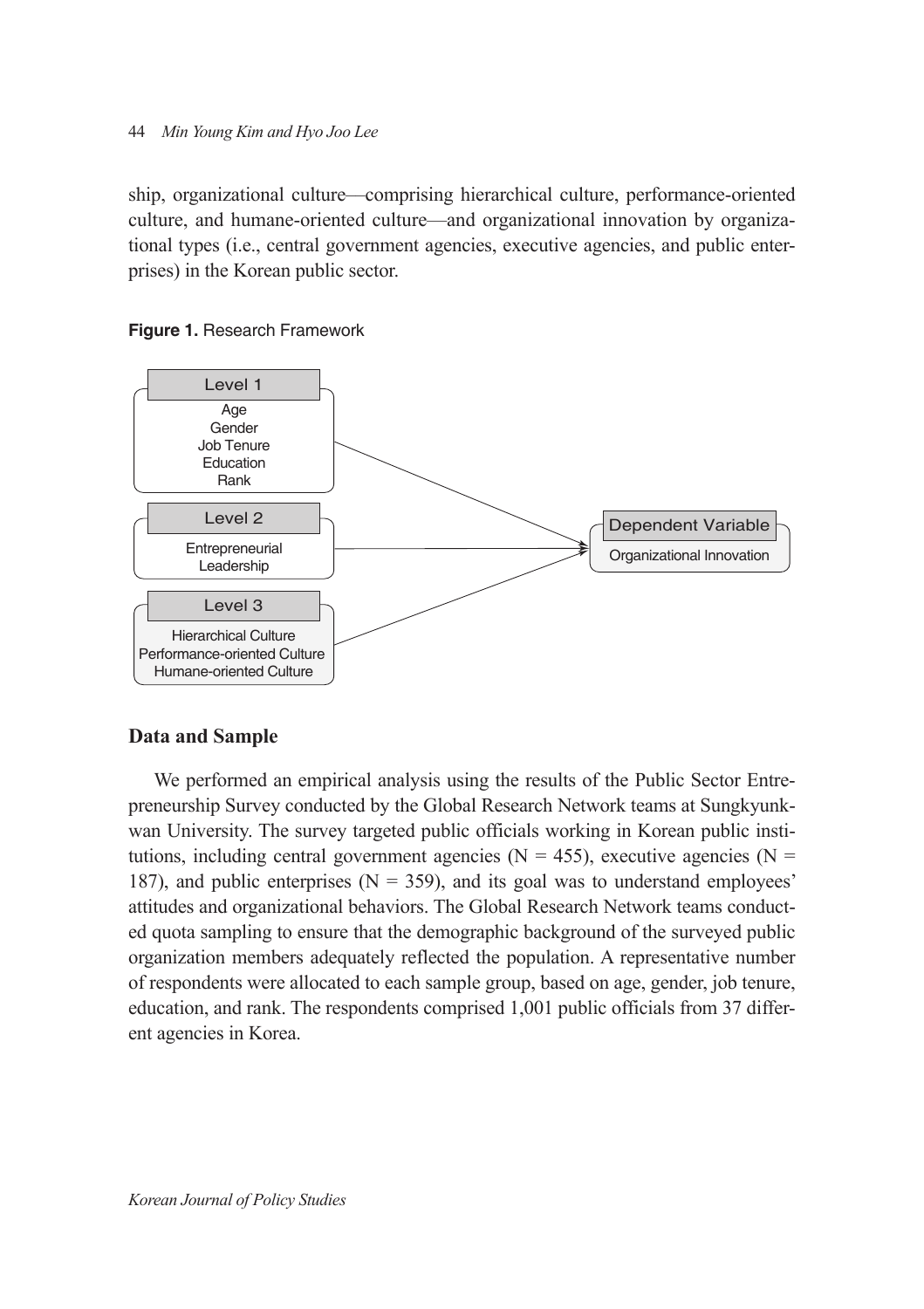ship, organizational culture––comprising hierarchical culture, performance-oriented culture, and humane-oriented culture––and organizational innovation by organizational types (i.e., central government agencies, executive agencies, and public enterprises) in the Korean public sector.



**Figure 1.** Research Framework

# **Data and Sample**

We performed an empirical analysis using the results of the Public Sector Entrepreneurship Survey conducted by the Global Research Network teams at Sungkyunkwan University. The survey targeted public officials working in Korean public institutions, including central government agencies ( $N = 455$ ), executive agencies ( $N =$ 187), and public enterprises ( $N = 359$ ), and its goal was to understand employees' attitudes and organizational behaviors. The Global Research Network teams conducted quota sampling to ensure that the demographic background of the surveyed public organization members adequately reflected the population. A representative number of respondents were allocated to each sample group, based on age, gender, job tenure, education, and rank. The respondents comprised 1,001 public officials from 37 different agencies in Korea.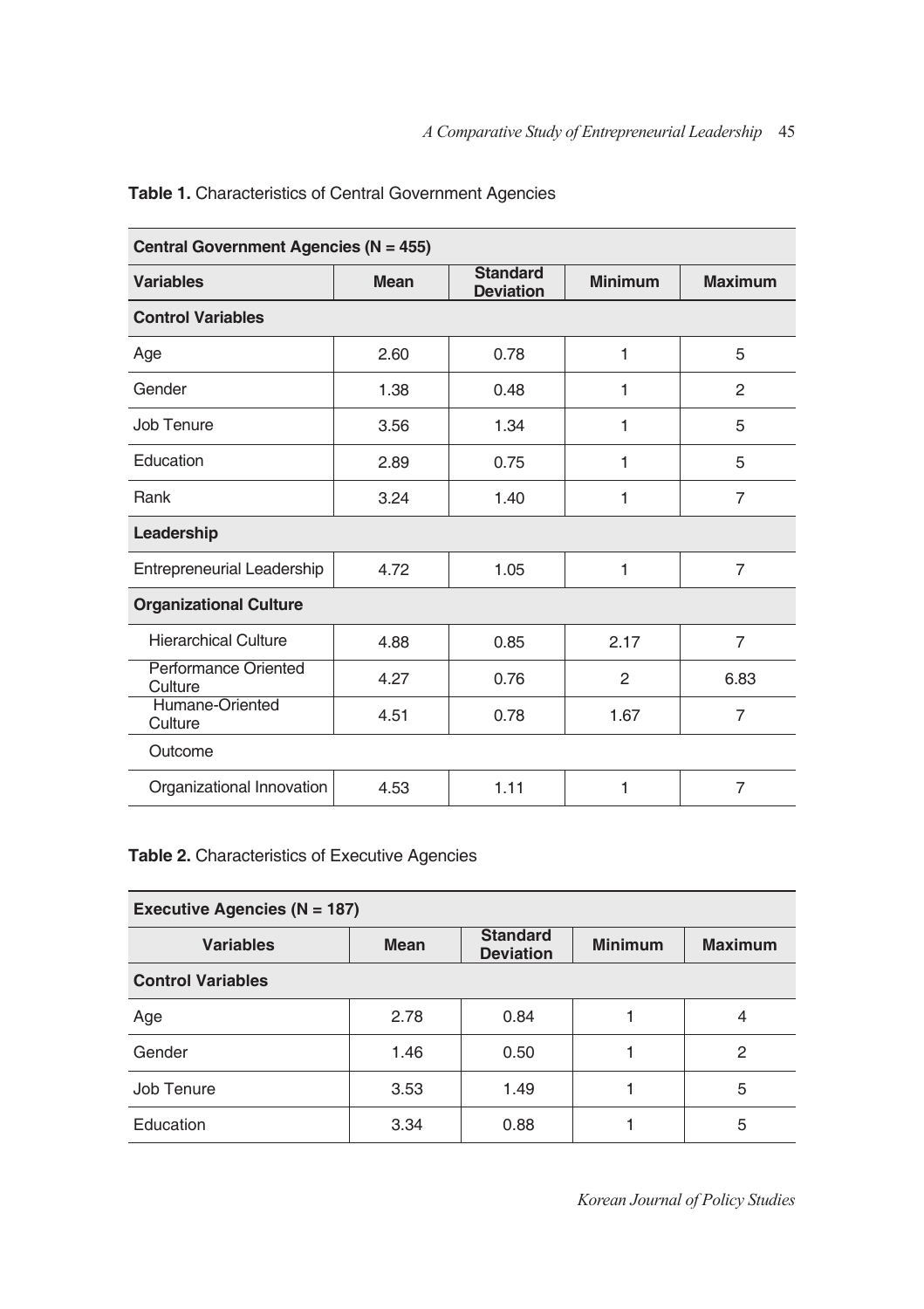| Central Government Agencies (N = 455)  |             |                                     |                |                |  |
|----------------------------------------|-------------|-------------------------------------|----------------|----------------|--|
| <b>Variables</b>                       | <b>Mean</b> | <b>Standard</b><br><b>Deviation</b> | <b>Minimum</b> | <b>Maximum</b> |  |
| <b>Control Variables</b>               |             |                                     |                |                |  |
| Age                                    | 2.60        | 0.78                                | 1              | 5              |  |
| Gender                                 | 1.38        | 0.48                                | 1              | 2              |  |
| Job Tenure                             | 3.56        | 1.34                                | 1              | 5              |  |
| Education                              | 2.89        | 0.75                                | 1              | 5              |  |
| Rank                                   | 3.24        | 1.40                                | 1              | $\overline{7}$ |  |
| Leadership                             |             |                                     |                |                |  |
| Entrepreneurial Leadership             | 4.72        | 1.05                                | 1              | $\overline{7}$ |  |
| <b>Organizational Culture</b>          |             |                                     |                |                |  |
| <b>Hierarchical Culture</b>            | 4.88        | 0.85                                | 2.17           | 7              |  |
| <b>Performance Oriented</b><br>Culture | 4.27        | 0.76                                | 2              | 6.83           |  |
| Humane-Oriented<br>Culture             | 4.51        | 0.78                                | 1.67           | $\overline{7}$ |  |
| Outcome                                |             |                                     |                |                |  |
| Organizational Innovation              | 4.53        | 1.11                                | 1              | $\overline{7}$ |  |

# **Table 1.** Characteristics of Central Government Agencies

# **Table 2.** Characteristics of Executive Agencies

| Executive Agencies ( $N = 187$ ) |             |                                     |                |                |
|----------------------------------|-------------|-------------------------------------|----------------|----------------|
| <b>Variables</b>                 | <b>Mean</b> | <b>Standard</b><br><b>Deviation</b> | <b>Minimum</b> | <b>Maximum</b> |
| <b>Control Variables</b>         |             |                                     |                |                |
| Age                              | 2.78        | 0.84                                | 1              | 4              |
| Gender                           | 1.46        | 0.50                                |                | $\overline{2}$ |
| Job Tenure                       | 3.53        | 1.49                                | 1              | 5              |
| Education                        | 3.34        | 0.88                                |                | 5              |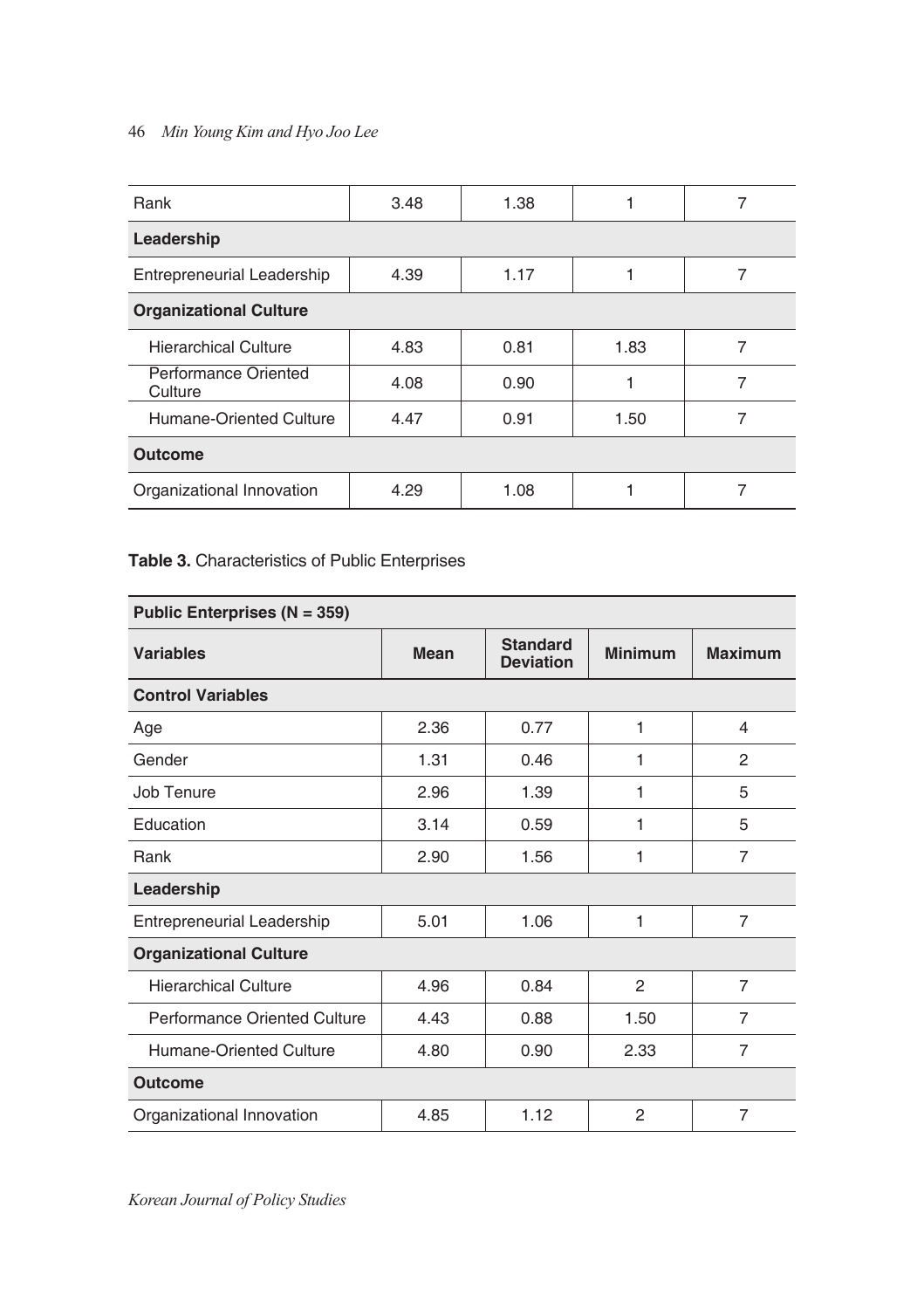| Rank                                   | 3.48 | 1.38 |      |   |  |
|----------------------------------------|------|------|------|---|--|
| Leadership                             |      |      |      |   |  |
| Entrepreneurial Leadership             | 4.39 | 1.17 |      |   |  |
| <b>Organizational Culture</b>          |      |      |      |   |  |
| <b>Hierarchical Culture</b>            | 4.83 | 0.81 | 1.83 | 7 |  |
| <b>Performance Oriented</b><br>Culture | 4.08 | 0.90 |      | 7 |  |
| Humane-Oriented Culture                | 4.47 | 0.91 | 1.50 |   |  |
| <b>Outcome</b>                         |      |      |      |   |  |
| Organizational Innovation              | 4.29 | 1.08 |      |   |  |

# **Table 3.** Characteristics of Public Enterprises

| Public Enterprises (N = 359)        |      |                                     |                |                |  |
|-------------------------------------|------|-------------------------------------|----------------|----------------|--|
| <b>Variables</b>                    | Mean | <b>Standard</b><br><b>Deviation</b> | <b>Minimum</b> | <b>Maximum</b> |  |
| <b>Control Variables</b>            |      |                                     |                |                |  |
| Age                                 | 2.36 | 0.77                                | 1              | 4              |  |
| Gender                              | 1.31 | 0.46                                | 1              | 2              |  |
| Job Tenure                          | 2.96 | 1.39                                | 1              | 5              |  |
| Education                           | 3.14 | 0.59                                | 1              | 5              |  |
| Rank                                | 2.90 | 1.56                                | 1              | $\overline{7}$ |  |
| Leadership                          |      |                                     |                |                |  |
| Entrepreneurial Leadership          | 5.01 | 1.06                                | 1              | 7              |  |
| <b>Organizational Culture</b>       |      |                                     |                |                |  |
| <b>Hierarchical Culture</b>         | 4.96 | 0.84                                | 2              | 7              |  |
| <b>Performance Oriented Culture</b> | 4.43 | 0.88                                | 1.50           | $\overline{7}$ |  |
| <b>Humane-Oriented Culture</b>      | 4.80 | 0.90                                | 2.33           | 7              |  |
| <b>Outcome</b>                      |      |                                     |                |                |  |
| Organizational Innovation           | 4.85 | 1.12                                | $\mathfrak{p}$ | 7              |  |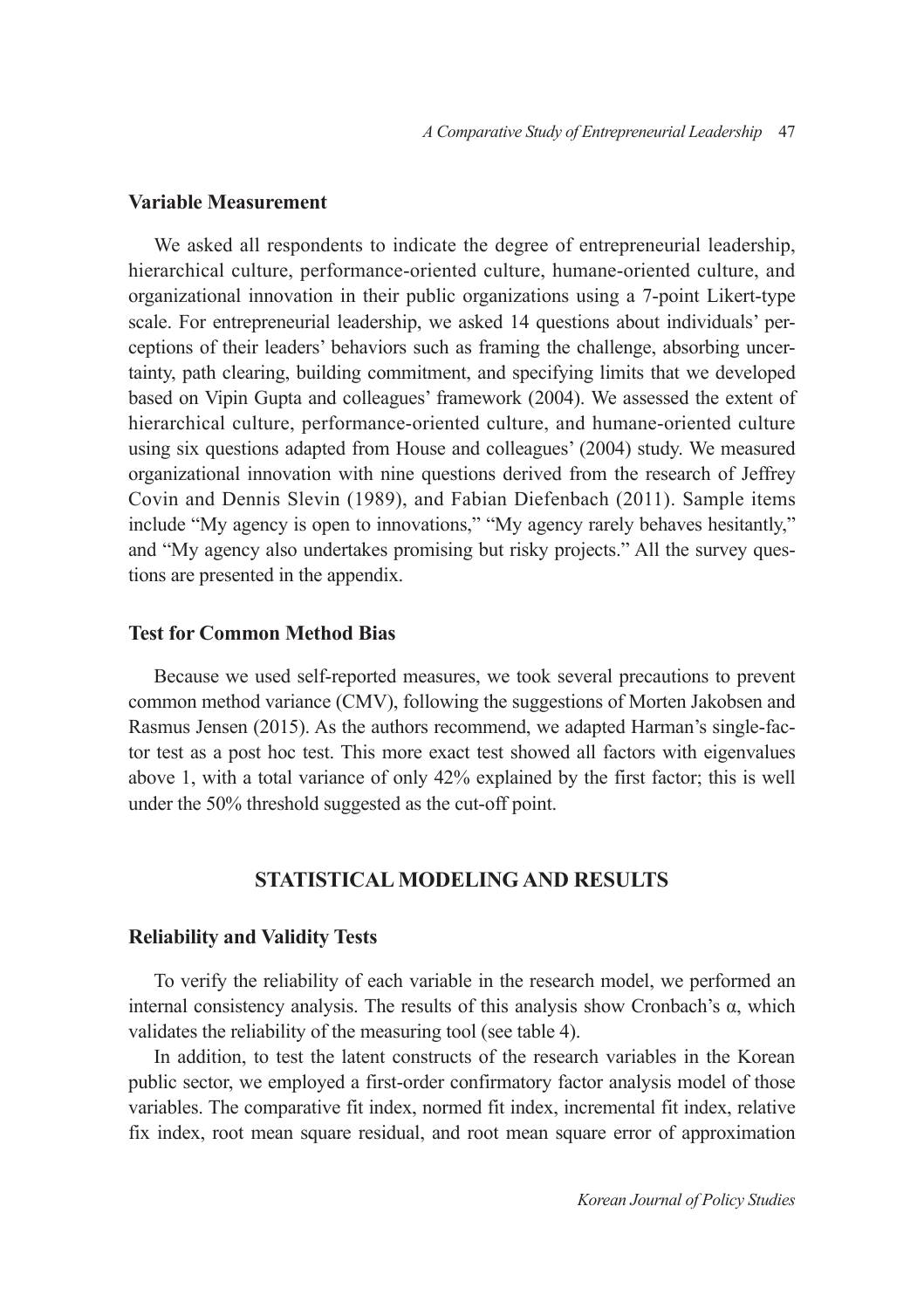# **Variable Measurement**

We asked all respondents to indicate the degree of entrepreneurial leadership, hierarchical culture, performance-oriented culture, humane-oriented culture, and organizational innovation in their public organizations using a 7-point Likert-type scale. For entrepreneurial leadership, we asked 14 questions about individuals' perceptions of their leaders' behaviors such as framing the challenge, absorbing uncertainty, path clearing, building commitment, and specifying limits that we developed based on Vipin Gupta and colleagues' framework (2004). We assessed the extent of hierarchical culture, performance-oriented culture, and humane-oriented culture using six questions adapted from House and colleagues' (2004) study. We measured organizational innovation with nine questions derived from the research of Jeffrey Covin and Dennis Slevin (1989), and Fabian Diefenbach (2011). Sample items include "My agency is open to innovations," "My agency rarely behaves hesitantly," and "My agency also undertakes promising but risky projects." All the survey questions are presented in the appendix.

#### **Test for Common Method Bias**

Because we used self-reported measures, we took several precautions to prevent common method variance (CMV), following the suggestions of Morten Jakobsen and Rasmus Jensen (2015). As the authors recommend, we adapted Harman's single-factor test as a post hoc test. This more exact test showed all factors with eigenvalues above 1, with a total variance of only 42% explained by the first factor; this is well under the 50% threshold suggested as the cut-off point.

# **STATISTICAL MODELING AND RESULTS**

#### **Reliability and Validity Tests**

To verify the reliability of each variable in the research model, we performed an internal consistency analysis. The results of this analysis show Cronbach's  $\alpha$ , which validates the reliability of the measuring tool (see table 4).

In addition, to test the latent constructs of the research variables in the Korean public sector, we employed a first-order confirmatory factor analysis model of those variables. The comparative fit index, normed fit index, incremental fit index, relative fix index, root mean square residual, and root mean square error of approximation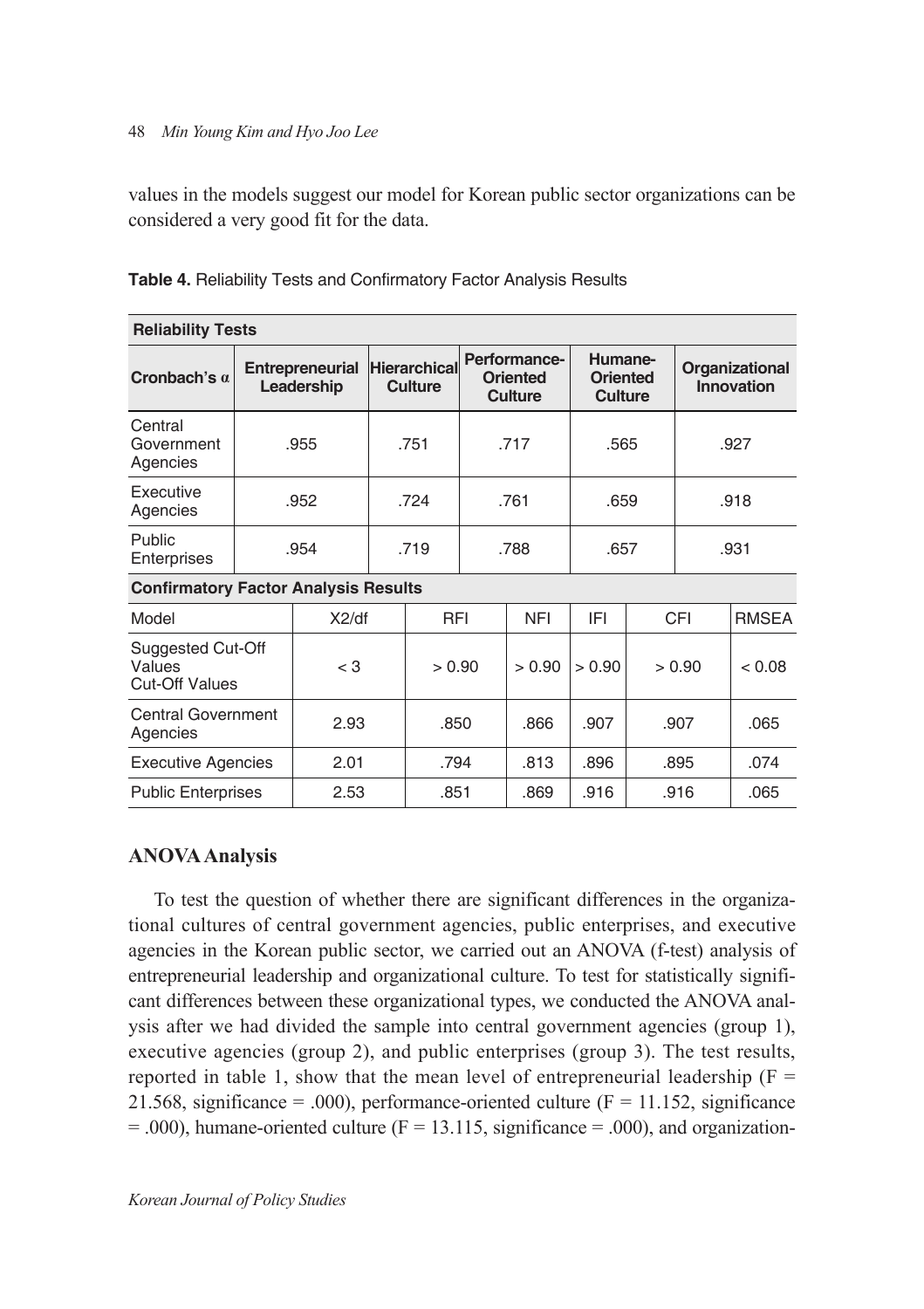values in the models suggest our model for Korean public sector organizations can be considered a very good fit for the data.

| <b>Reliability Tests</b>                             |                               |       |  |                         |                                            |            |                                       |  |                              |              |
|------------------------------------------------------|-------------------------------|-------|--|-------------------------|--------------------------------------------|------------|---------------------------------------|--|------------------------------|--------------|
| Cronbach's $a$                                       | Entrepreneurial<br>Leadership |       |  | Hierarchical<br>Culture | Performance-<br><b>Oriented</b><br>Culture |            | Humane-<br><b>Oriented</b><br>Culture |  | Organizational<br>Innovation |              |
| Central<br>Government<br>Agencies                    |                               | .955  |  | .751                    |                                            | .717       | .565                                  |  |                              | .927         |
| Executive<br>Agencies                                |                               | .952  |  | .724                    | .761                                       |            | .659                                  |  |                              | .918         |
| Public<br>Enterprises                                |                               | .954  |  | .719<br>.788            |                                            |            | .657                                  |  |                              | .931         |
| <b>Confirmatory Factor Analysis Results</b>          |                               |       |  |                         |                                            |            |                                       |  |                              |              |
| Model                                                |                               | X2/df |  | <b>RFI</b>              |                                            | <b>NFI</b> | IFI                                   |  | CFI                          | <b>RMSEA</b> |
| Suggested Cut-Off<br>Values<br><b>Cut-Off Values</b> |                               | $<$ 3 |  | > 0.90                  |                                            | > 0.90     | > 0.90                                |  | > 0.90                       | < 0.08       |
| <b>Central Government</b><br>Agencies                |                               | 2.93  |  | .850                    |                                            | .866       | .907                                  |  | .907                         | .065         |
| <b>Executive Agencies</b>                            |                               | 2.01  |  | .794                    |                                            | .813       | .896                                  |  | .895                         | .074         |
| <b>Public Enterprises</b>                            |                               | 2.53  |  | .851                    |                                            | .869       | .916                                  |  | .916                         | .065         |

**Table 4.** Reliability Tests and Confirmatory Factor Analysis Results

# **ANOVA Analysis**

To test the question of whether there are significant differences in the organizational cultures of central government agencies, public enterprises, and executive agencies in the Korean public sector, we carried out an ANOVA (f-test) analysis of entrepreneurial leadership and organizational culture. To test for statistically significant differences between these organizational types, we conducted the ANOVA analysis after we had divided the sample into central government agencies (group 1), executive agencies (group 2), and public enterprises (group 3). The test results, reported in table 1, show that the mean level of entrepreneurial leadership ( $F =$ 21.568, significance = .000), performance-oriented culture ( $F = 11.152$ , significance  $= .000$ ), humane-oriented culture (F = 13.115, significance = .000), and organization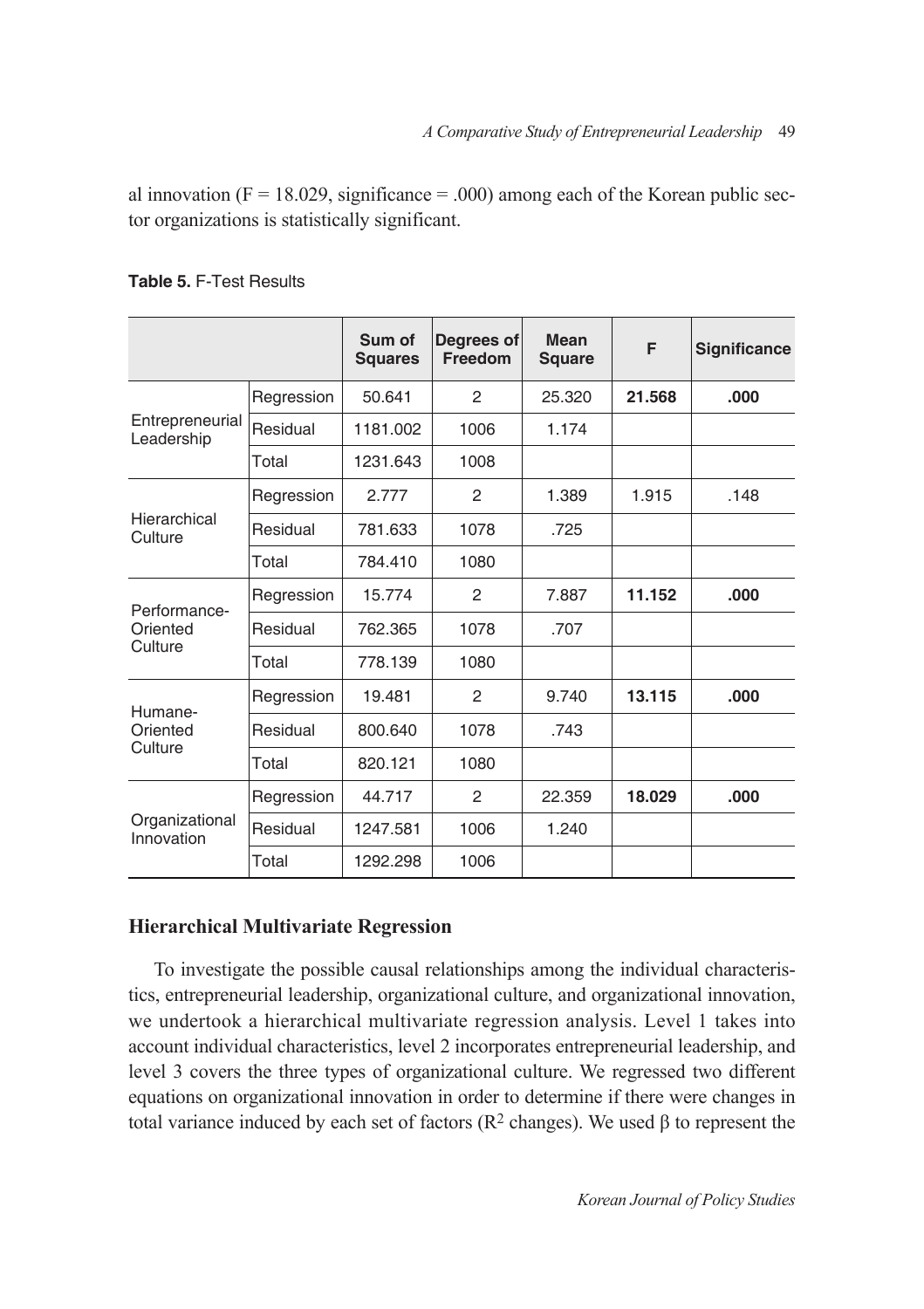al innovation ( $F = 18.029$ , significance = .000) among each of the Korean public sector organizations is statistically significant.

|                               |            | Sum of<br><b>Squares</b> | Degrees of<br>Freedom | Mean<br><b>Square</b> | F      | <b>Significance</b> |
|-------------------------------|------------|--------------------------|-----------------------|-----------------------|--------|---------------------|
|                               | Regression | 50.641                   | $\mathfrak{p}$        | 25.320                | 21.568 | .000                |
| Entrepreneurial<br>Leadership | Residual   | 1181.002                 | 1006                  | 1.174                 |        |                     |
|                               | Total      | 1231.643                 | 1008                  |                       |        |                     |
|                               | Regression | 2.777                    | 2                     | 1.389                 | 1.915  | .148                |
| Hierarchical<br>Culture       | Residual   | 781.633                  | 1078                  | .725                  |        |                     |
|                               | Total      | 784.410                  | 1080                  |                       |        |                     |
| Performance-                  | Regression | 15.774                   | 2                     | 7.887                 | 11.152 | .000.               |
| Oriented                      | Residual   | 762.365                  | 1078                  | .707                  |        |                     |
| Culture                       | Total      | 778.139                  | 1080                  |                       |        |                     |
| Humane-                       | Regression | 19.481                   | $\mathfrak{p}$        | 9.740                 | 13.115 | .000                |
| Oriented<br>Culture           | Residual   | 800.640                  | 1078                  | .743                  |        |                     |
|                               | Total      | 820.121                  | 1080                  |                       |        |                     |
|                               | Regression | 44.717                   | 2                     | 22.359                | 18.029 | .000.               |
| Organizational<br>Innovation  | Residual   | 1247.581                 | 1006                  | 1.240                 |        |                     |
|                               | Total      | 1292.298                 | 1006                  |                       |        |                     |

# **Table 5.** F-Test Results

# **Hierarchical Multivariate Regression**

To investigate the possible causal relationships among the individual characteristics, entrepreneurial leadership, organizational culture, and organizational innovation, we undertook a hierarchical multivariate regression analysis. Level 1 takes into account individual characteristics, level 2 incorporates entrepreneurial leadership, and level 3 covers the three types of organizational culture. We regressed two different equations on organizational innovation in order to determine if there were changes in total variance induced by each set of factors (R2 changes). We used β to represent the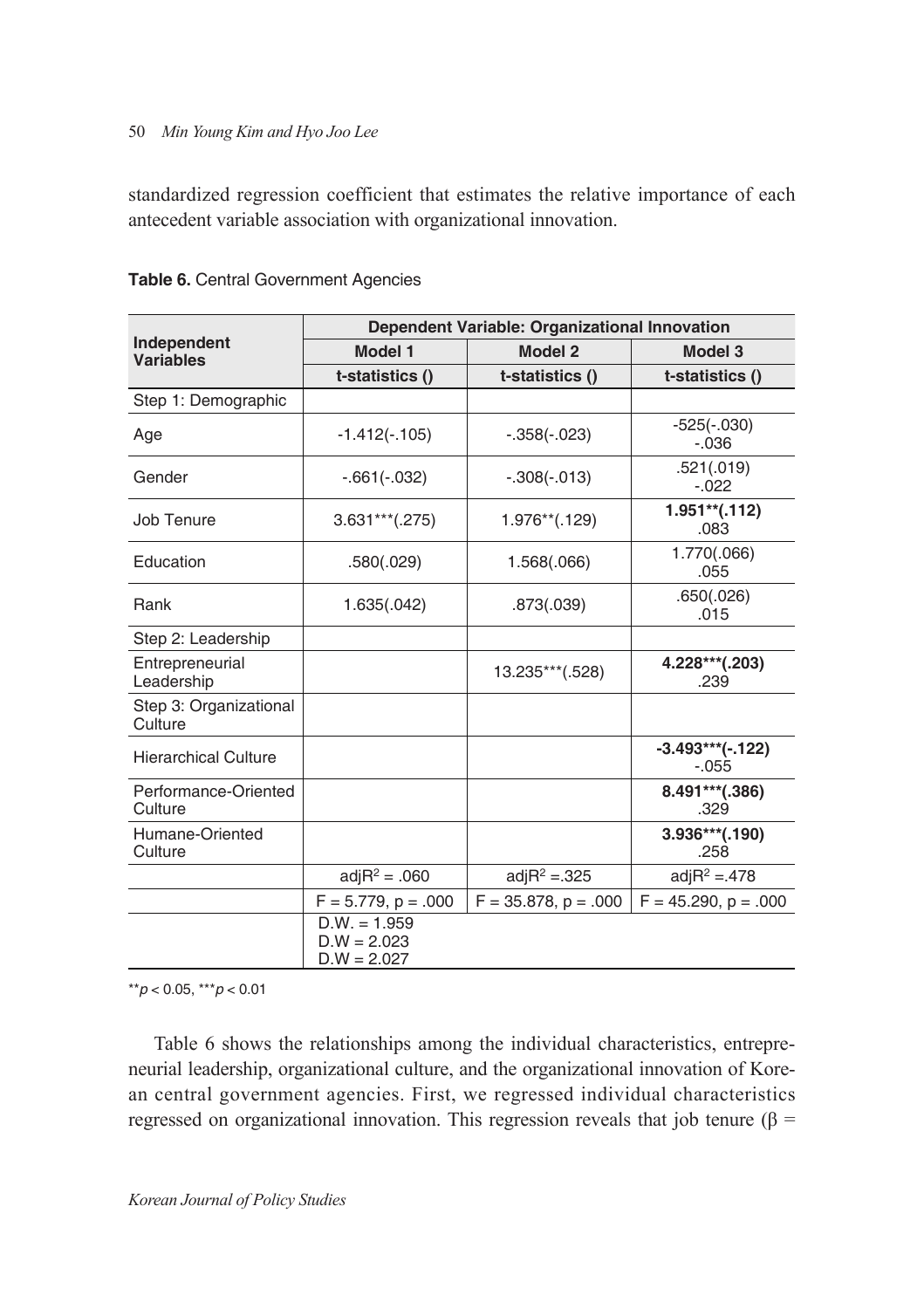standardized regression coefficient that estimates the relative importance of each antecedent variable association with organizational innovation.

|                                   |                                                  | <b>Dependent Variable: Organizational Innovation</b> |                               |
|-----------------------------------|--------------------------------------------------|------------------------------------------------------|-------------------------------|
| Independent<br><b>Variables</b>   | <b>Model 1</b>                                   | Model 2                                              | Model 3                       |
|                                   | t-statistics ()                                  | t-statistics ()                                      | t-statistics ()               |
| Step 1: Demographic               |                                                  |                                                      |                               |
| Age                               | $-1.412(-.105)$                                  | $-.358(-.023)$                                       | $-525(-.030)$<br>$-.036$      |
| Gender                            | $-.661(-.032)$                                   | $-.308(-.013)$                                       | .521(.019)<br>$-.022$         |
| Job Tenure                        | $3.631***$ (.275)                                | $1.976**$ (.129)                                     | $1.951**$ (.112)<br>.083      |
| Education                         | .580(.029)                                       | 1.568(.066)                                          | 1.770(.066)<br>.055           |
| Rank                              | 1.635(.042)                                      | .873(.039)                                           | .650(.026)<br>.015            |
| Step 2: Leadership                |                                                  |                                                      |                               |
| Entrepreneurial<br>Leadership     |                                                  | 13.235***(.528)                                      | 4.228***(.203)<br>.239        |
| Step 3: Organizational<br>Culture |                                                  |                                                      |                               |
| <b>Hierarchical Culture</b>       |                                                  |                                                      | $-3.493***(-.122)$<br>$-.055$ |
| Performance-Oriented<br>Culture   |                                                  |                                                      | 8.491***(.386)<br>.329        |
| Humane-Oriented<br>Culture        |                                                  |                                                      | $3.936***$ (.190)<br>.258     |
|                                   | $adjR^2 = .060$                                  | adj $R^2 = 325$                                      | adj $R^2 = 478$               |
|                                   | $F = 5.779$ , $p = .000$                         | $F = 35.878$ , $p = .000$                            | $F = 45.290$ , $p = .000$     |
|                                   | $D.W. = 1.959$<br>$D.W = 2.023$<br>$D.W = 2.027$ |                                                      |                               |

**Table 6.** Central Government Agencies

\*\**p* < 0.05, \*\*\**p* < 0.01

Table 6 shows the relationships among the individual characteristics, entrepreneurial leadership, organizational culture, and the organizational innovation of Korean central government agencies. First, we regressed individual characteristics regressed on organizational innovation. This regression reveals that job tenure (β =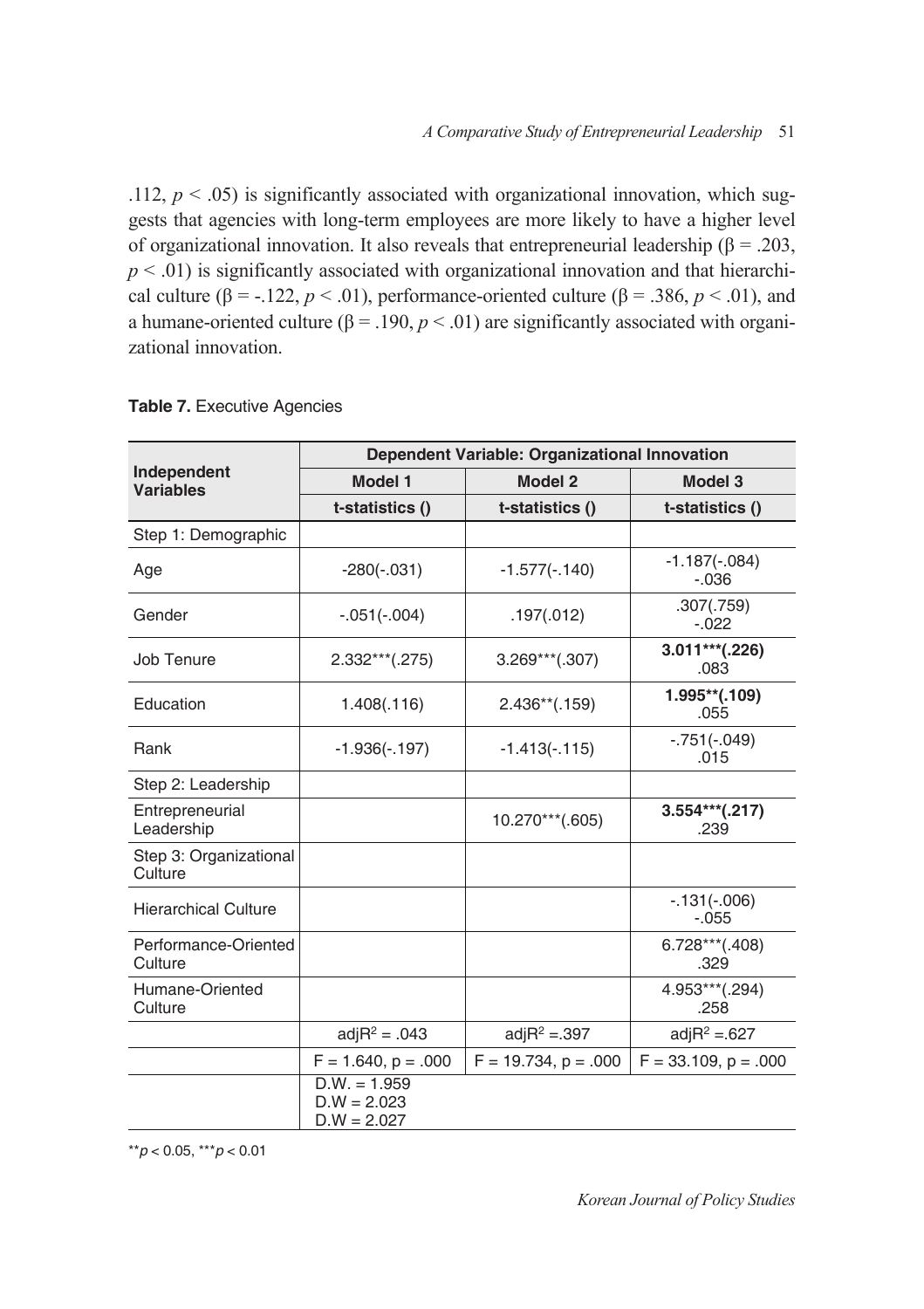.112,  $p < .05$ ) is significantly associated with organizational innovation, which suggests that agencies with long-term employees are more likely to have a higher level of organizational innovation. It also reveals that entrepreneurial leadership ( $\beta = .203$ ,  $p < .01$ ) is significantly associated with organizational innovation and that hierarchical culture ( $\beta$  = -.122,  $p < .01$ ), performance-oriented culture ( $\beta$  = .386,  $p < .01$ ), and a humane-oriented culture ( $\beta$  = .190,  $p$  < .01) are significantly associated with organizational innovation.

|                                   |                                                  | Dependent Variable: Organizational Innovation |                             |
|-----------------------------------|--------------------------------------------------|-----------------------------------------------|-----------------------------|
| Independent<br><b>Variables</b>   | Model 1                                          | <b>Model 2</b>                                | Model 3                     |
|                                   | t-statistics ()                                  | t-statistics ()                               | t-statistics ()             |
| Step 1: Demographic               |                                                  |                                               |                             |
| Age                               | $-280(-.031)$                                    | $-1.577(-.140)$                               | $-1.187(-.084)$<br>$-0.036$ |
| Gender                            | $-.051(-.004)$                                   | .197(.012)                                    | .307(.759)<br>$-.022$       |
| Job Tenure                        | $2.332***$ (.275)                                | $3.269***(.307)$                              | $3.011***$ (.226)<br>.083   |
| Education                         | 1.408(.116)                                      | $2.436**(.159)$                               | 1.995**(.109)<br>.055       |
| Rank                              | $-1.936(-.197)$                                  | $-1.413(-.115)$                               | $-.751(-.049)$<br>.015      |
| Step 2: Leadership                |                                                  |                                               |                             |
| Entrepreneurial<br>Leadership     |                                                  | 10.270***(.605)                               | $3.554***$ (.217)<br>.239   |
| Step 3: Organizational<br>Culture |                                                  |                                               |                             |
| <b>Hierarchical Culture</b>       |                                                  |                                               | $-.131(-.006)$<br>$-.055$   |
| Performance-Oriented<br>Culture   |                                                  |                                               | $6.728***$ (.408)<br>.329   |
| Humane-Oriented<br>Culture        |                                                  |                                               | 4.953***(.294)<br>.258      |
|                                   | $adjR^2 = .043$                                  | adj $R^2 = 0.397$                             | adj $R^2 = 627$             |
|                                   | $F = 1.640$ , $p = .000$                         | $F = 19.734$ , $p = .000$                     | $F = 33.109$ , $p = .000$   |
|                                   | $D.W. = 1.959$<br>$D.W = 2.023$<br>$D.W = 2.027$ |                                               |                             |

#### **Table 7.** Executive Agencies

\*\**p* < 0.05, \*\*\**p* < 0.01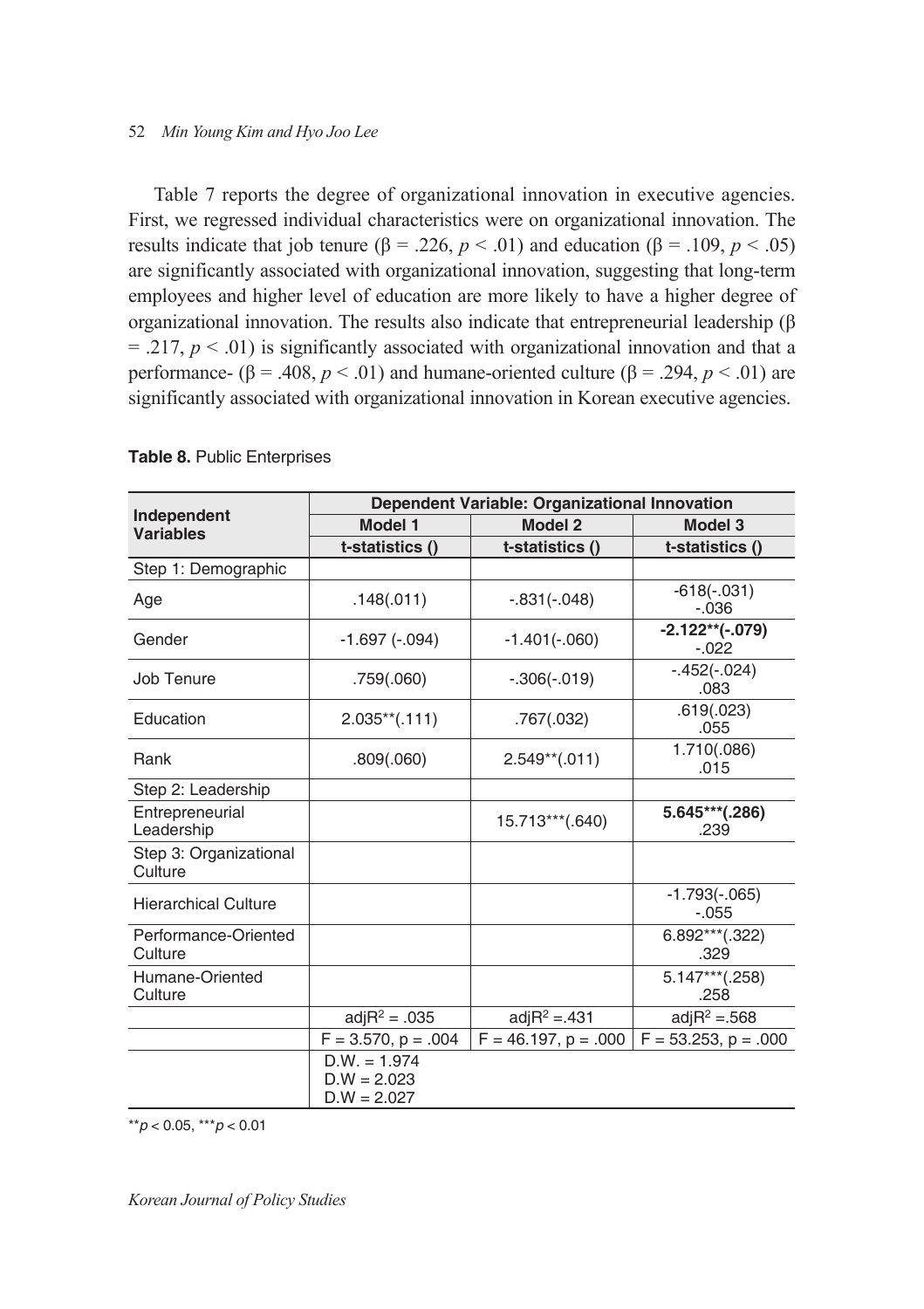Table 7 reports the degree of organizational innovation in executive agencies. First, we regressed individual characteristics were on organizational innovation. The results indicate that job tenure (β = .226,  $p < .01$ ) and education (β = .109,  $p < .05$ ) are significantly associated with organizational innovation, suggesting that long-term employees and higher level of education are more likely to have a higher degree of organizational innovation. The results also indicate that entrepreneurial leadership (β  $= .217, p < .01$ ) is significantly associated with organizational innovation and that a performance-  $(\beta = .408, p < .01)$  and humane-oriented culture  $(\beta = .294, p < .01)$  are significantly associated with organizational innovation in Korean executive agencies.

|                                   | Dependent Variable: Organizational Innovation    |                           |                               |  |  |  |
|-----------------------------------|--------------------------------------------------|---------------------------|-------------------------------|--|--|--|
| Independent<br><b>Variables</b>   | Model 1                                          | <b>Model 2</b>            | Model 3                       |  |  |  |
|                                   | t-statistics ()                                  | t-statistics ()           | t-statistics ()               |  |  |  |
| Step 1: Demographic               |                                                  |                           |                               |  |  |  |
| Age                               | .148(.011)                                       | $-.831(-.048)$            | $-618(-.031)$<br>$-0.36$      |  |  |  |
| Gender                            | $-1.697(-.094)$                                  | $-1.401(-.060)$           | $-2.122**(-.079)$<br>$-0.022$ |  |  |  |
| Job Tenure                        | .759(.060)                                       | $-.306(-.019)$            | $-.452(-.024)$<br>.083        |  |  |  |
| Education                         | $2.035**(.111)$                                  | .767(.032)                | .619(.023)<br>.055            |  |  |  |
| Rank                              | .809(.060)                                       | $2.549**(.011)$           | 1.710(.086)<br>.015           |  |  |  |
| Step 2: Leadership                |                                                  |                           |                               |  |  |  |
| Entrepreneurial<br>Leadership     |                                                  | 15.713***(.640)           | 5.645***(.286)<br>.239        |  |  |  |
| Step 3: Organizational<br>Culture |                                                  |                           |                               |  |  |  |
| <b>Hierarchical Culture</b>       |                                                  |                           | $-1.793(-.065)$<br>$-.055$    |  |  |  |
| Performance-Oriented<br>Culture   |                                                  |                           | $6.892***$ (.322)<br>.329     |  |  |  |
| Humane-Oriented<br>Culture        |                                                  |                           | $5.147***$ (.258)<br>.258     |  |  |  |
|                                   | adj $R^2 = .035$                                 | adj $R^2 = 431$           | $adjR^2 = 568$                |  |  |  |
|                                   | $F = 3.570$ , $p = .004$                         | $F = 46.197$ , $p = .000$ | $F = 53.253$ , $p = .000$     |  |  |  |
|                                   | $D.W. = 1.974$<br>$D.W = 2.023$<br>$D.W = 2.027$ |                           |                               |  |  |  |

#### **Table 8.** Public Enterprises

\*\**p* < 0.05, \*\*\**p* < 0.01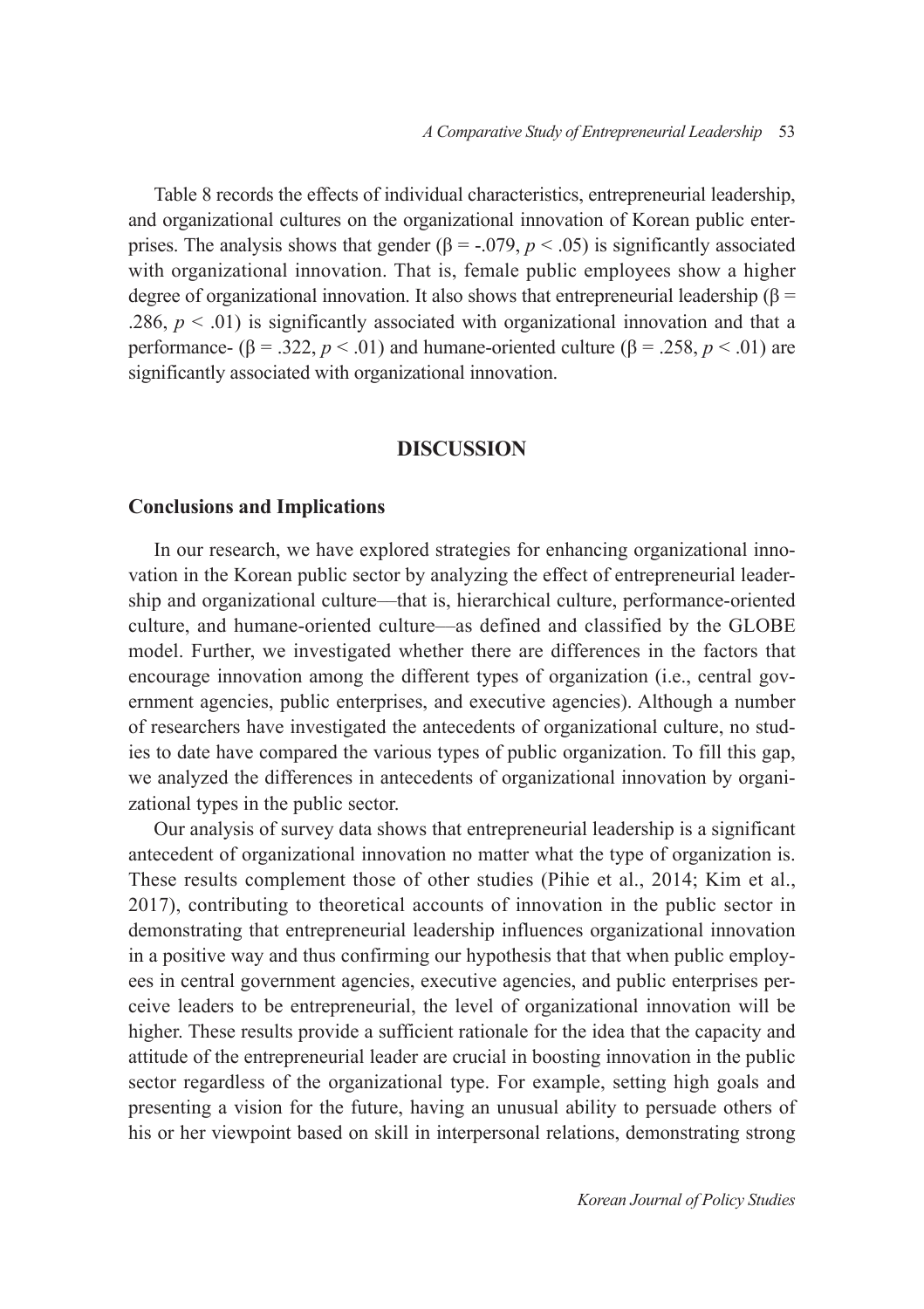Table 8 records the effects of individual characteristics, entrepreneurial leadership, and organizational cultures on the organizational innovation of Korean public enterprises. The analysis shows that gender ( $\beta$  = -.079,  $p$  < .05) is significantly associated with organizational innovation. That is, female public employees show a higher degree of organizational innovation. It also shows that entrepreneurial leadership ( $\beta$  = .286,  $p < .01$ ) is significantly associated with organizational innovation and that a performance-  $(\beta = .322, p < .01)$  and humane-oriented culture  $(\beta = .258, p < .01)$  are significantly associated with organizational innovation.

#### **DISCUSSION**

#### **Conclusions and Implications**

In our research, we have explored strategies for enhancing organizational innovation in the Korean public sector by analyzing the effect of entrepreneurial leadership and organizational culture––that is, hierarchical culture, performance-oriented culture, and humane-oriented culture––as defined and classified by the GLOBE model. Further, we investigated whether there are differences in the factors that encourage innovation among the different types of organization (i.e., central government agencies, public enterprises, and executive agencies). Although a number of researchers have investigated the antecedents of organizational culture, no studies to date have compared the various types of public organization. To fill this gap, we analyzed the differences in antecedents of organizational innovation by organizational types in the public sector.

Our analysis of survey data shows that entrepreneurial leadership is a significant antecedent of organizational innovation no matter what the type of organization is. These results complement those of other studies (Pihie et al., 2014; Kim et al., 2017), contributing to theoretical accounts of innovation in the public sector in demonstrating that entrepreneurial leadership influences organizational innovation in a positive way and thus confirming our hypothesis that that when public employees in central government agencies, executive agencies, and public enterprises perceive leaders to be entrepreneurial, the level of organizational innovation will be higher. These results provide a sufficient rationale for the idea that the capacity and attitude of the entrepreneurial leader are crucial in boosting innovation in the public sector regardless of the organizational type. For example, setting high goals and presenting a vision for the future, having an unusual ability to persuade others of his or her viewpoint based on skill in interpersonal relations, demonstrating strong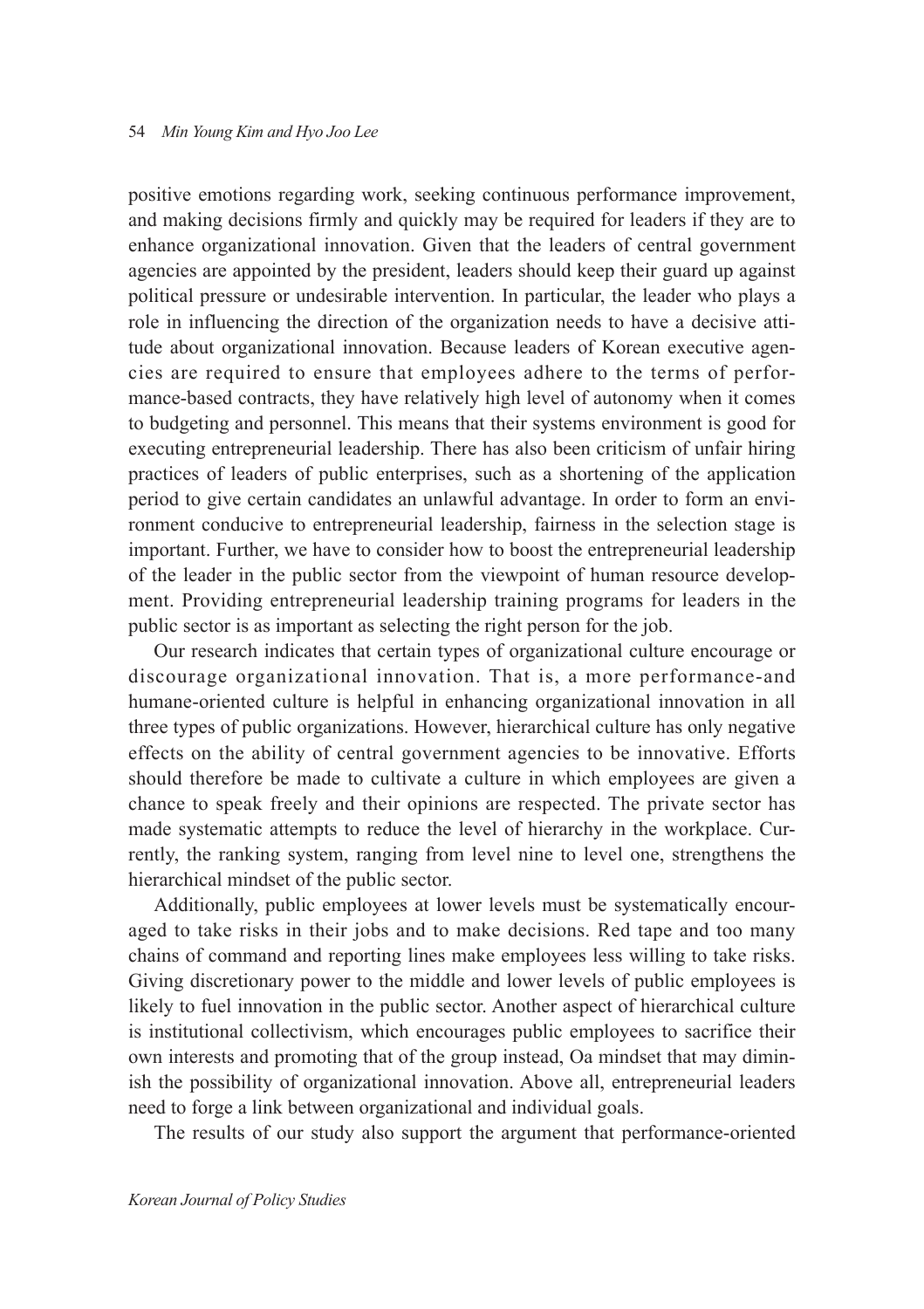positive emotions regarding work, seeking continuous performance improvement, and making decisions firmly and quickly may be required for leaders if they are to enhance organizational innovation. Given that the leaders of central government agencies are appointed by the president, leaders should keep their guard up against political pressure or undesirable intervention. In particular, the leader who plays a role in influencing the direction of the organization needs to have a decisive attitude about organizational innovation. Because leaders of Korean executive agencies are required to ensure that employees adhere to the terms of performance-based contracts, they have relatively high level of autonomy when it comes to budgeting and personnel. This means that their systems environment is good for executing entrepreneurial leadership. There has also been criticism of unfair hiring practices of leaders of public enterprises, such as a shortening of the application period to give certain candidates an unlawful advantage. In order to form an environment conducive to entrepreneurial leadership, fairness in the selection stage is important. Further, we have to consider how to boost the entrepreneurial leadership of the leader in the public sector from the viewpoint of human resource development. Providing entrepreneurial leadership training programs for leaders in the public sector is as important as selecting the right person for the job.

Our research indicates that certain types of organizational culture encourage or discourage organizational innovation. That is, a more performance-and humane-oriented culture is helpful in enhancing organizational innovation in all three types of public organizations. However, hierarchical culture has only negative effects on the ability of central government agencies to be innovative. Efforts should therefore be made to cultivate a culture in which employees are given a chance to speak freely and their opinions are respected. The private sector has made systematic attempts to reduce the level of hierarchy in the workplace. Currently, the ranking system, ranging from level nine to level one, strengthens the hierarchical mindset of the public sector.

Additionally, public employees at lower levels must be systematically encouraged to take risks in their jobs and to make decisions. Red tape and too many chains of command and reporting lines make employees less willing to take risks. Giving discretionary power to the middle and lower levels of public employees is likely to fuel innovation in the public sector. Another aspect of hierarchical culture is institutional collectivism, which encourages public employees to sacrifice their own interests and promoting that of the group instead, Oa mindset that may diminish the possibility of organizational innovation. Above all, entrepreneurial leaders need to forge a link between organizational and individual goals.

The results of our study also support the argument that performance-oriented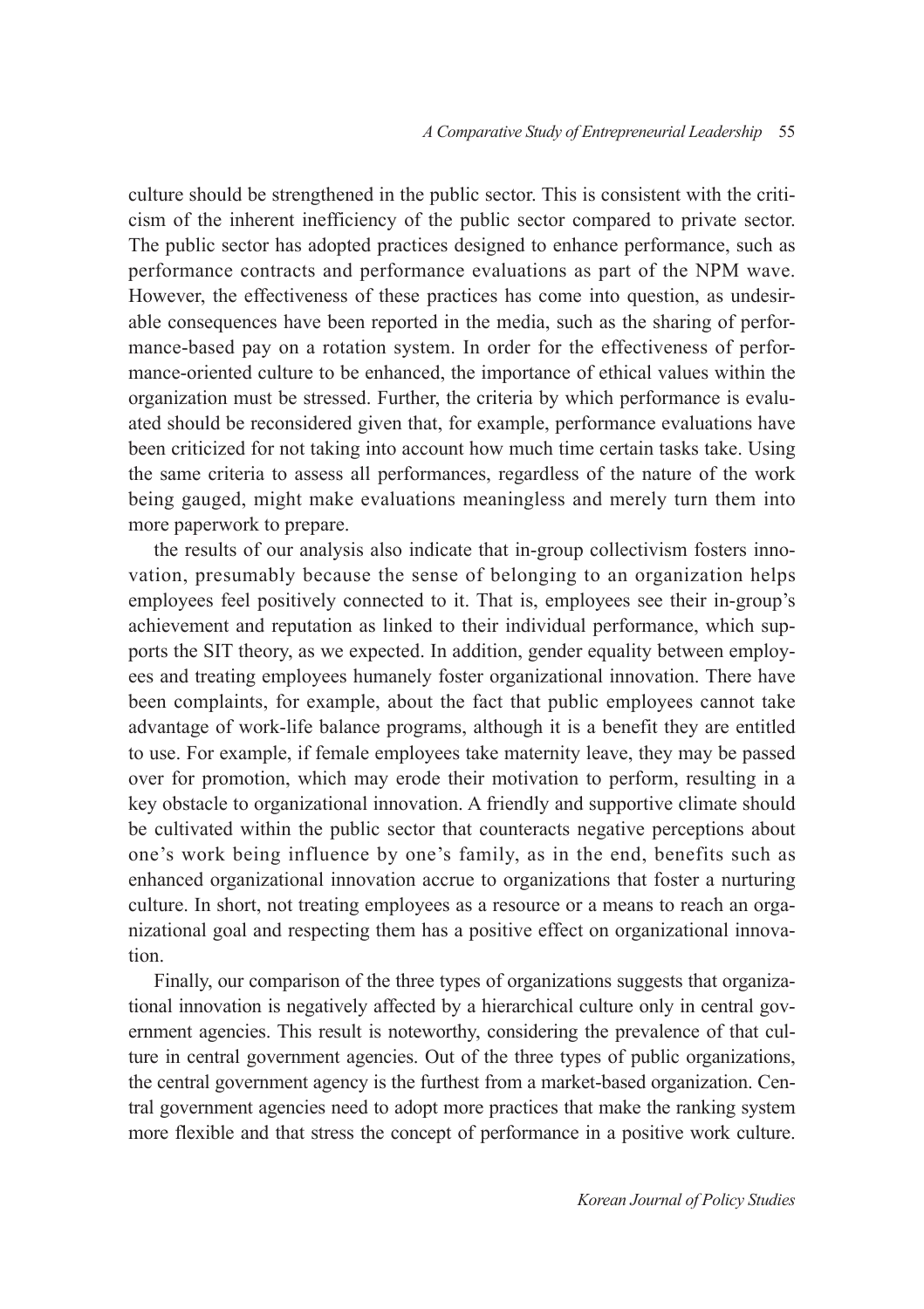culture should be strengthened in the public sector. This is consistent with the criticism of the inherent inefficiency of the public sector compared to private sector. The public sector has adopted practices designed to enhance performance, such as performance contracts and performance evaluations as part of the NPM wave. However, the effectiveness of these practices has come into question, as undesirable consequences have been reported in the media, such as the sharing of performance-based pay on a rotation system. In order for the effectiveness of performance-oriented culture to be enhanced, the importance of ethical values within the organization must be stressed. Further, the criteria by which performance is evaluated should be reconsidered given that, for example, performance evaluations have been criticized for not taking into account how much time certain tasks take. Using the same criteria to assess all performances, regardless of the nature of the work being gauged, might make evaluations meaningless and merely turn them into more paperwork to prepare.

the results of our analysis also indicate that in-group collectivism fosters innovation, presumably because the sense of belonging to an organization helps employees feel positively connected to it. That is, employees see their in-group's achievement and reputation as linked to their individual performance, which supports the SIT theory, as we expected. In addition, gender equality between employees and treating employees humanely foster organizational innovation. There have been complaints, for example, about the fact that public employees cannot take advantage of work-life balance programs, although it is a benefit they are entitled to use. For example, if female employees take maternity leave, they may be passed over for promotion, which may erode their motivation to perform, resulting in a key obstacle to organizational innovation. A friendly and supportive climate should be cultivated within the public sector that counteracts negative perceptions about one's work being influence by one's family, as in the end, benefits such as enhanced organizational innovation accrue to organizations that foster a nurturing culture. In short, not treating employees as a resource or a means to reach an organizational goal and respecting them has a positive effect on organizational innovation.

Finally, our comparison of the three types of organizations suggests that organizational innovation is negatively affected by a hierarchical culture only in central government agencies. This result is noteworthy, considering the prevalence of that culture in central government agencies. Out of the three types of public organizations, the central government agency is the furthest from a market-based organization. Central government agencies need to adopt more practices that make the ranking system more flexible and that stress the concept of performance in a positive work culture.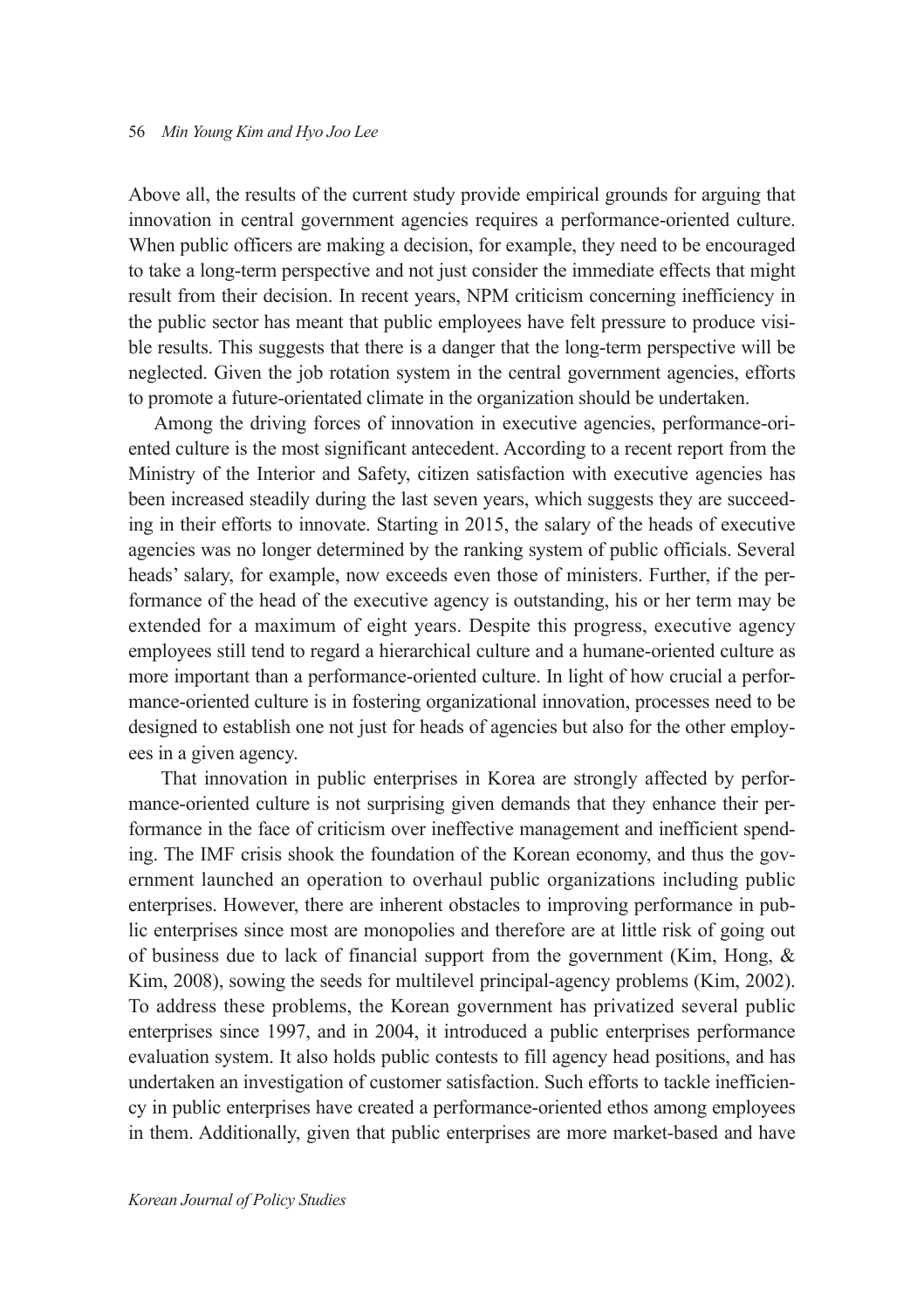Above all, the results of the current study provide empirical grounds for arguing that innovation in central government agencies requires a performance-oriented culture. When public officers are making a decision, for example, they need to be encouraged to take a long-term perspective and not just consider the immediate effects that might result from their decision. In recent years, NPM criticism concerning inefficiency in the public sector has meant that public employees have felt pressure to produce visible results. This suggests that there is a danger that the long-term perspective will be neglected. Given the job rotation system in the central government agencies, efforts to promote a future-orientated climate in the organization should be undertaken.

Among the driving forces of innovation in executive agencies, performance-oriented culture is the most significant antecedent. According to a recent report from the Ministry of the Interior and Safety, citizen satisfaction with executive agencies has been increased steadily during the last seven years, which suggests they are succeeding in their efforts to innovate. Starting in 2015, the salary of the heads of executive agencies was no longer determined by the ranking system of public officials. Several heads' salary, for example, now exceeds even those of ministers. Further, if the performance of the head of the executive agency is outstanding, his or her term may be extended for a maximum of eight years. Despite this progress, executive agency employees still tend to regard a hierarchical culture and a humane-oriented culture as more important than a performance-oriented culture. In light of how crucial a performance-oriented culture is in fostering organizational innovation, processes need to be designed to establish one not just for heads of agencies but also for the other employees in a given agency.

 That innovation in public enterprises in Korea are strongly affected by performance-oriented culture is not surprising given demands that they enhance their performance in the face of criticism over ineffective management and inefficient spending. The IMF crisis shook the foundation of the Korean economy, and thus the government launched an operation to overhaul public organizations including public enterprises. However, there are inherent obstacles to improving performance in public enterprises since most are monopolies and therefore are at little risk of going out of business due to lack of financial support from the government (Kim, Hong,  $\&$ Kim, 2008), sowing the seeds for multilevel principal-agency problems (Kim, 2002). To address these problems, the Korean government has privatized several public enterprises since 1997, and in 2004, it introduced a public enterprises performance evaluation system. It also holds public contests to fill agency head positions, and has undertaken an investigation of customer satisfaction. Such efforts to tackle inefficiency in public enterprises have created a performance-oriented ethos among employees in them. Additionally, given that public enterprises are more market-based and have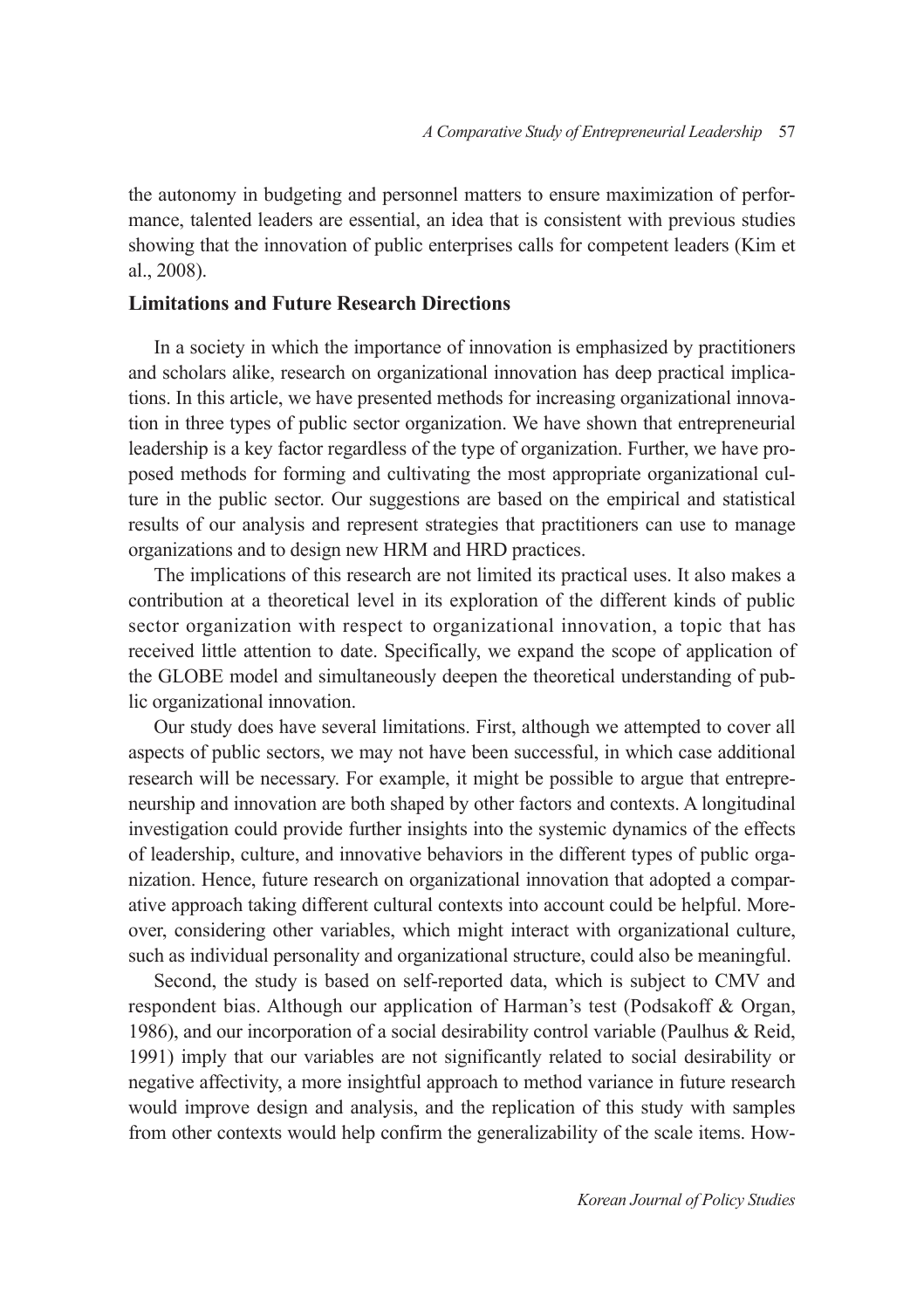the autonomy in budgeting and personnel matters to ensure maximization of performance, talented leaders are essential, an idea that is consistent with previous studies showing that the innovation of public enterprises calls for competent leaders (Kim et al., 2008).

### **Limitations and Future Research Directions**

In a society in which the importance of innovation is emphasized by practitioners and scholars alike, research on organizational innovation has deep practical implications. In this article, we have presented methods for increasing organizational innovation in three types of public sector organization. We have shown that entrepreneurial leadership is a key factor regardless of the type of organization. Further, we have proposed methods for forming and cultivating the most appropriate organizational culture in the public sector. Our suggestions are based on the empirical and statistical results of our analysis and represent strategies that practitioners can use to manage organizations and to design new HRM and HRD practices.

The implications of this research are not limited its practical uses. It also makes a contribution at a theoretical level in its exploration of the different kinds of public sector organization with respect to organizational innovation, a topic that has received little attention to date. Specifically, we expand the scope of application of the GLOBE model and simultaneously deepen the theoretical understanding of public organizational innovation.

Our study does have several limitations. First, although we attempted to cover all aspects of public sectors, we may not have been successful, in which case additional research will be necessary. For example, it might be possible to argue that entrepreneurship and innovation are both shaped by other factors and contexts. A longitudinal investigation could provide further insights into the systemic dynamics of the effects of leadership, culture, and innovative behaviors in the different types of public organization. Hence, future research on organizational innovation that adopted a comparative approach taking different cultural contexts into account could be helpful. Moreover, considering other variables, which might interact with organizational culture, such as individual personality and organizational structure, could also be meaningful.

Second, the study is based on self-reported data, which is subject to CMV and respondent bias. Although our application of Harman's test (Podsakoff & Organ, 1986), and our incorporation of a social desirability control variable (Paulhus & Reid, 1991) imply that our variables are not significantly related to social desirability or negative affectivity, a more insightful approach to method variance in future research would improve design and analysis, and the replication of this study with samples from other contexts would help confirm the generalizability of the scale items. How-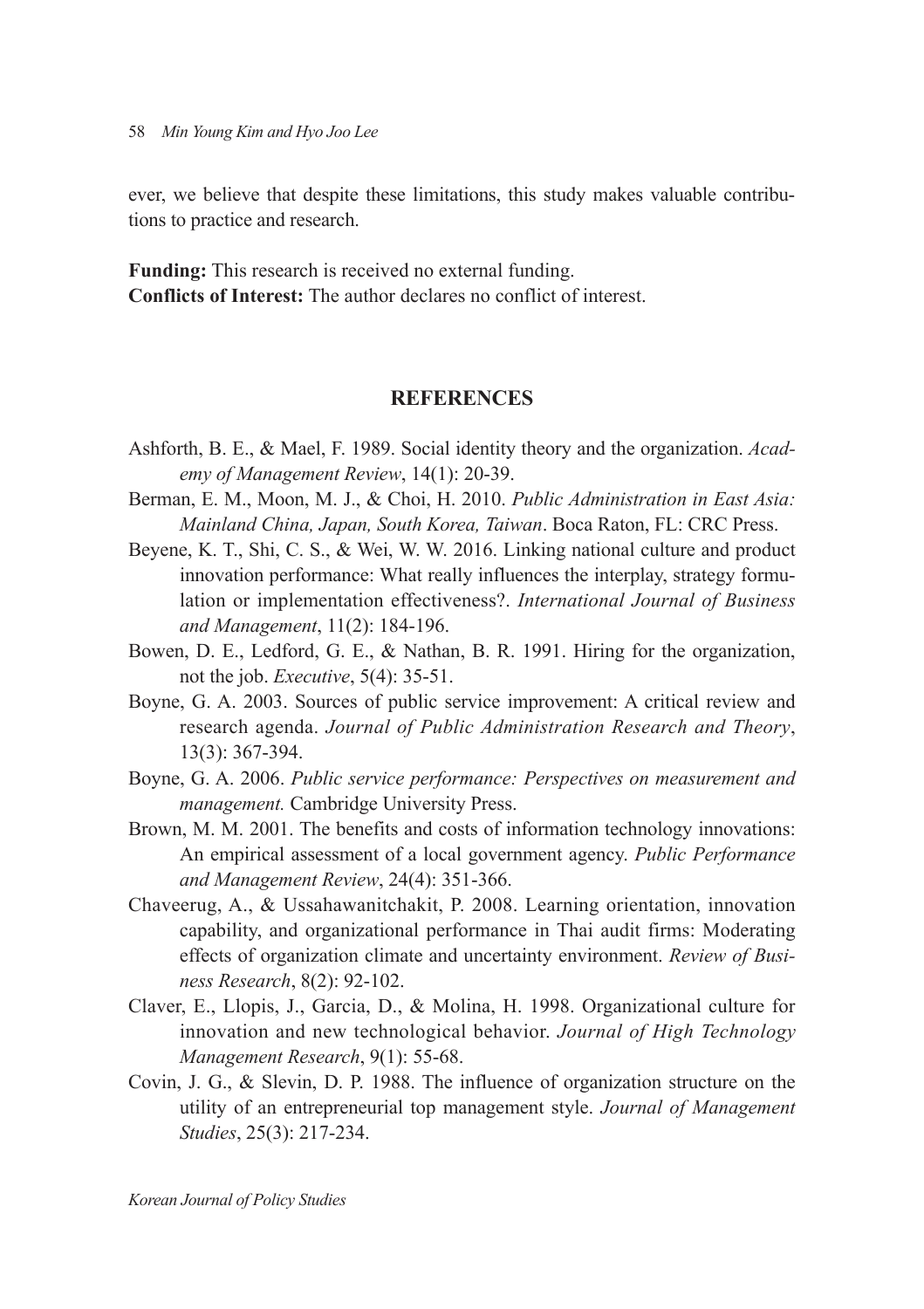ever, we believe that despite these limitations, this study makes valuable contributions to practice and research.

**Funding:** This research is received no external funding. **Conflicts of Interest:** The author declares no conflict of interest.

# **REFERENCES**

- Ashforth, B. E., & Mael, F. 1989. Social identity theory and the organization. *Academy of Management Review*, 14(1): 20-39.
- Berman, E. M., Moon, M. J., & Choi, H. 2010. *Public Administration in East Asia: Mainland China, Japan, South Korea, Taiwan*. Boca Raton, FL: CRC Press.
- Beyene, K. T., Shi, C. S., & Wei, W. W. 2016. Linking national culture and product innovation performance: What really influences the interplay, strategy formulation or implementation effectiveness?. *International Journal of Business and Management*, 11(2): 184-196.
- Bowen, D. E., Ledford, G. E., & Nathan, B. R. 1991. Hiring for the organization, not the job. *Executive*, 5(4): 35-51.
- Boyne, G. A. 2003. Sources of public service improvement: A critical review and research agenda. *Journal of Public Administration Research and Theory*, 13(3): 367-394.
- Boyne, G. A. 2006. *Public service performance: Perspectives on measurement and management.* Cambridge University Press.
- Brown, M. M. 2001. The benefits and costs of information technology innovations: An empirical assessment of a local government agency. *Public Performance and Management Review*, 24(4): 351-366.
- Chaveerug, A., & Ussahawanitchakit, P. 2008. Learning orientation, innovation capability, and organizational performance in Thai audit firms: Moderating effects of organization climate and uncertainty environment. *Review of Business Research*, 8(2): 92-102.
- Claver, E., Llopis, J., Garcia, D., & Molina, H. 1998. Organizational culture for innovation and new technological behavior. *Journal of High Technology Management Research*, 9(1): 55-68.
- Covin, J. G., & Slevin, D. P. 1988. The influence of organization structure on the utility of an entrepreneurial top management style. *Journal of Management Studies*, 25(3): 217-234.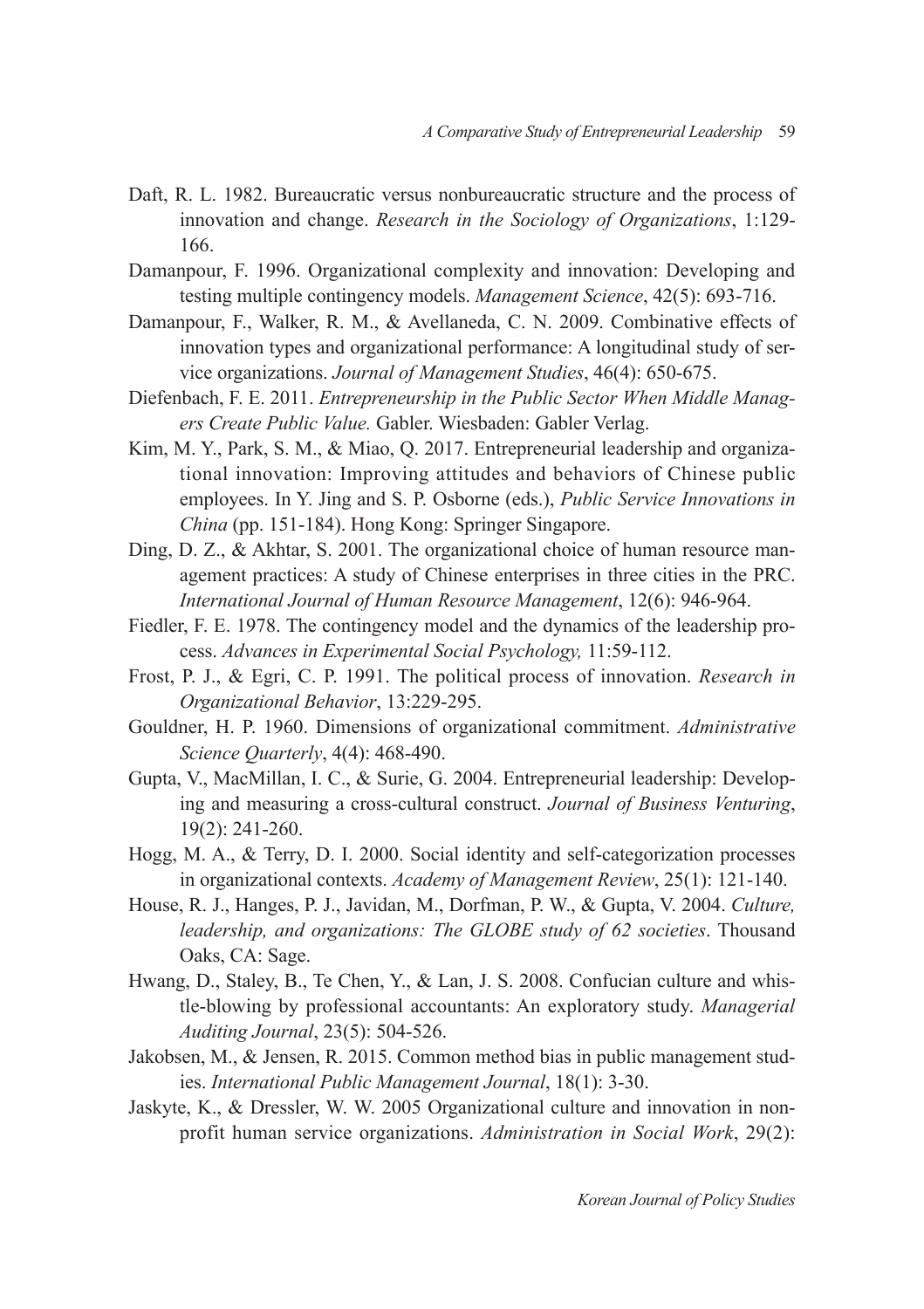- Daft, R. L. 1982. Bureaucratic versus nonbureaucratic structure and the process of innovation and change. *Research in the Sociology of Organizations*, 1:129- 166.
- Damanpour, F. 1996. Organizational complexity and innovation: Developing and testing multiple contingency models. *Management Science*, 42(5): 693-716.
- Damanpour, F., Walker, R. M., & Avellaneda, C. N. 2009. Combinative effects of innovation types and organizational performance: A longitudinal study of service organizations. *Journal of Management Studies*, 46(4): 650-675.
- Diefenbach, F. E. 2011. *Entrepreneurship in the Public Sector When Middle Managers Create Public Value.* Gabler. Wiesbaden: Gabler Verlag.
- Kim, M. Y., Park, S. M., & Miao, Q. 2017. Entrepreneurial leadership and organizational innovation: Improving attitudes and behaviors of Chinese public employees. In Y. Jing and S. P. Osborne (eds.), *Public Service Innovations in China* (pp. 151-184). Hong Kong: Springer Singapore.
- Ding, D. Z., & Akhtar, S. 2001. The organizational choice of human resource management practices: A study of Chinese enterprises in three cities in the PRC. *International Journal of Human Resource Management*, 12(6): 946-964.
- Fiedler, F. E. 1978. The contingency model and the dynamics of the leadership process. *Advances in Experimental Social Psychology,* 11:59-112.
- Frost, P. J., & Egri, C. P. 1991. The political process of innovation. *Research in Organizational Behavior*, 13:229-295.
- Gouldner, H. P. 1960. Dimensions of organizational commitment. *Administrative Science Quarterly*, 4(4): 468-490.
- Gupta, V., MacMillan, I. C., & Surie, G. 2004. Entrepreneurial leadership: Developing and measuring a cross-cultural construct. *Journal of Business Venturing*, 19(2): 241-260.
- Hogg, M. A., & Terry, D. I. 2000. Social identity and self-categorization processes in organizational contexts. *Academy of Management Review*, 25(1): 121-140.
- House, R. J., Hanges, P. J., Javidan, M., Dorfman, P. W., & Gupta, V. 2004. *Culture, leadership, and organizations: The GLOBE study of 62 societies*. Thousand Oaks, CA: Sage.
- Hwang, D., Staley, B., Te Chen, Y., & Lan, J. S. 2008. Confucian culture and whistle-blowing by professional accountants: An exploratory study. *Managerial Auditing Journal*, 23(5): 504-526.
- Jakobsen, M., & Jensen, R. 2015. Common method bias in public management studies. *International Public Management Journal*, 18(1): 3-30.
- Jaskyte, K., & Dressler, W. W. 2005 Organizational culture and innovation in nonprofit human service organizations. *Administration in Social Work*, 29(2):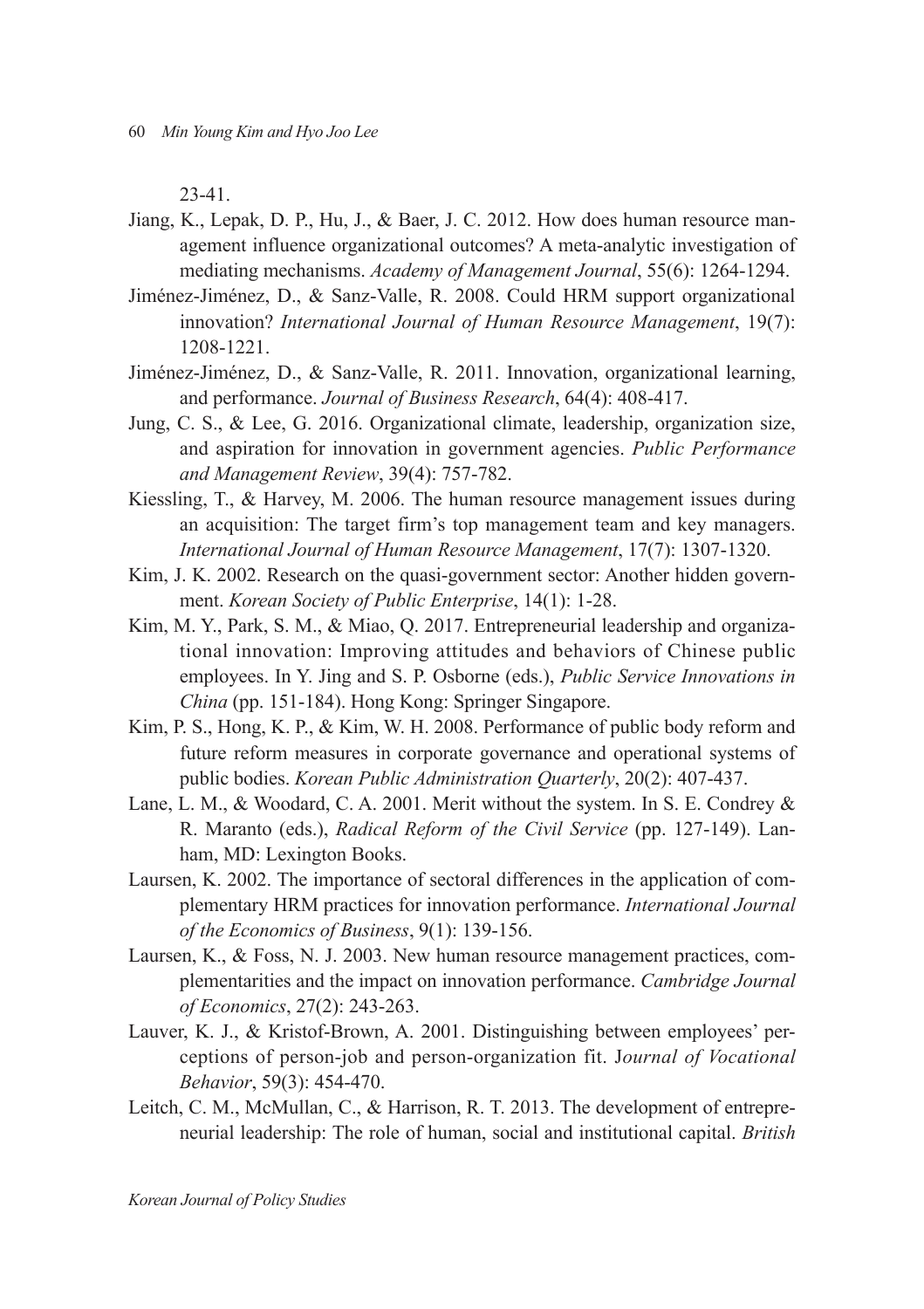23-41.

- Jiang, K., Lepak, D. P., Hu, J., & Baer, J. C. 2012. How does human resource management influence organizational outcomes? A meta-analytic investigation of mediating mechanisms. *Academy of Management Journal*, 55(6): 1264-1294.
- Jiménez-Jiménez, D., & Sanz-Valle, R. 2008. Could HRM support organizational innovation? *International Journal of Human Resource Management*, 19(7): 1208-1221.
- Jiménez-Jiménez, D., & Sanz-Valle, R. 2011. Innovation, organizational learning, and performance. *Journal of Business Research*, 64(4): 408-417.
- Jung, C. S., & Lee, G. 2016. Organizational climate, leadership, organization size, and aspiration for innovation in government agencies. *Public Performance and Management Review*, 39(4): 757-782.
- Kiessling, T., & Harvey, M. 2006. The human resource management issues during an acquisition: The target firm's top management team and key managers. *International Journal of Human Resource Management*, 17(7): 1307-1320.
- Kim, J. K. 2002. Research on the quasi-government sector: Another hidden government. *Korean Society of Public Enterprise*, 14(1): 1-28.
- Kim, M. Y., Park, S. M., & Miao, Q. 2017. Entrepreneurial leadership and organizational innovation: Improving attitudes and behaviors of Chinese public employees. In Y. Jing and S. P. Osborne (eds.), *Public Service Innovations in China* (pp. 151-184). Hong Kong: Springer Singapore.
- Kim, P. S., Hong, K. P., & Kim, W. H. 2008. Performance of public body reform and future reform measures in corporate governance and operational systems of public bodies. *Korean Public Administration Quarterly*, 20(2): 407-437.
- Lane, L. M., & Woodard, C. A. 2001. Merit without the system. In S. E. Condrey & R. Maranto (eds.), *Radical Reform of the Civil Service* (pp. 127-149). Lanham, MD: Lexington Books.
- Laursen, K. 2002. The importance of sectoral differences in the application of complementary HRM practices for innovation performance. *International Journal of the Economics of Business*, 9(1): 139-156.
- Laursen, K., & Foss, N. J. 2003. New human resource management practices, complementarities and the impact on innovation performance. *Cambridge Journal of Economics*, 27(2): 243-263.
- Lauver, K. J., & Kristof-Brown, A. 2001. Distinguishing between employees' perceptions of person-job and person-organization fit. J*ournal of Vocational Behavior*, 59(3): 454-470.
- Leitch, C. M., McMullan, C., & Harrison, R. T. 2013. The development of entrepreneurial leadership: The role of human, social and institutional capital. *British*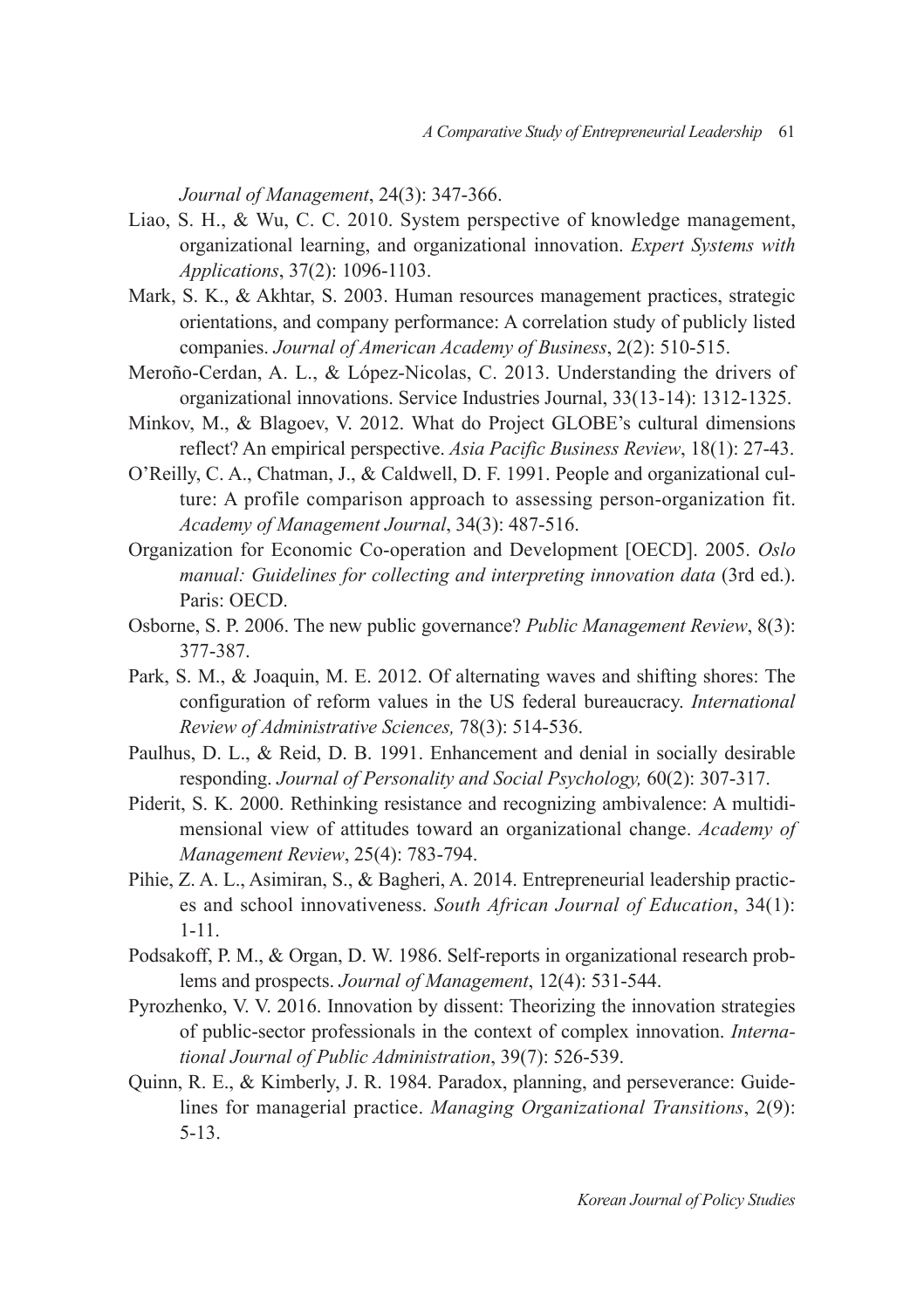*Journal of Management*, 24(3): 347-366.

- Liao, S. H., & Wu, C. C. 2010. System perspective of knowledge management, organizational learning, and organizational innovation. *Expert Systems with Applications*, 37(2): 1096-1103.
- Mark, S. K., & Akhtar, S. 2003. Human resources management practices, strategic orientations, and company performance: A correlation study of publicly listed companies. *Journal of American Academy of Business*, 2(2): 510-515.
- Meroño-Cerdan, A. L., & López-Nicolas, C. 2013. Understanding the drivers of organizational innovations. Service Industries Journal, 33(13-14): 1312-1325.
- Minkov, M., & Blagoev, V. 2012. What do Project GLOBE's cultural dimensions reflect? An empirical perspective. *Asia Pacific Business Review*, 18(1): 27-43.
- O'Reilly, C. A., Chatman, J., & Caldwell, D. F. 1991. People and organizational culture: A profile comparison approach to assessing person-organization fit. *Academy of Management Journal*, 34(3): 487-516.
- Organization for Economic Co-operation and Development [OECD]. 2005. *Oslo manual: Guidelines for collecting and interpreting innovation data* (3rd ed.). Paris: OECD.
- Osborne, S. P. 2006. The new public governance? *Public Management Review*, 8(3): 377-387.
- Park, S. M., & Joaquin, M. E. 2012. Of alternating waves and shifting shores: The configuration of reform values in the US federal bureaucracy. *International Review of Administrative Sciences,* 78(3): 514-536.
- Paulhus, D. L., & Reid, D. B. 1991. Enhancement and denial in socially desirable responding. *Journal of Personality and Social Psychology,* 60(2): 307-317.
- Piderit, S. K. 2000. Rethinking resistance and recognizing ambivalence: A multidimensional view of attitudes toward an organizational change. *Academy of Management Review*, 25(4): 783-794.
- Pihie, Z. A. L., Asimiran, S., & Bagheri, A. 2014. Entrepreneurial leadership practices and school innovativeness. *South African Journal of Education*, 34(1): 1-11.
- Podsakoff, P. M., & Organ, D. W. 1986. Self‐reports in organizational research problems and prospects. *Journal of Management*, 12(4): 531‐544.
- Pyrozhenko, V. V. 2016. Innovation by dissent: Theorizing the innovation strategies of public-sector professionals in the context of complex innovation. *International Journal of Public Administration*, 39(7): 526-539.
- Quinn, R. E., & Kimberly, J. R. 1984. Paradox, planning, and perseverance: Guidelines for managerial practice. *Managing Organizational Transitions*, 2(9): 5-13.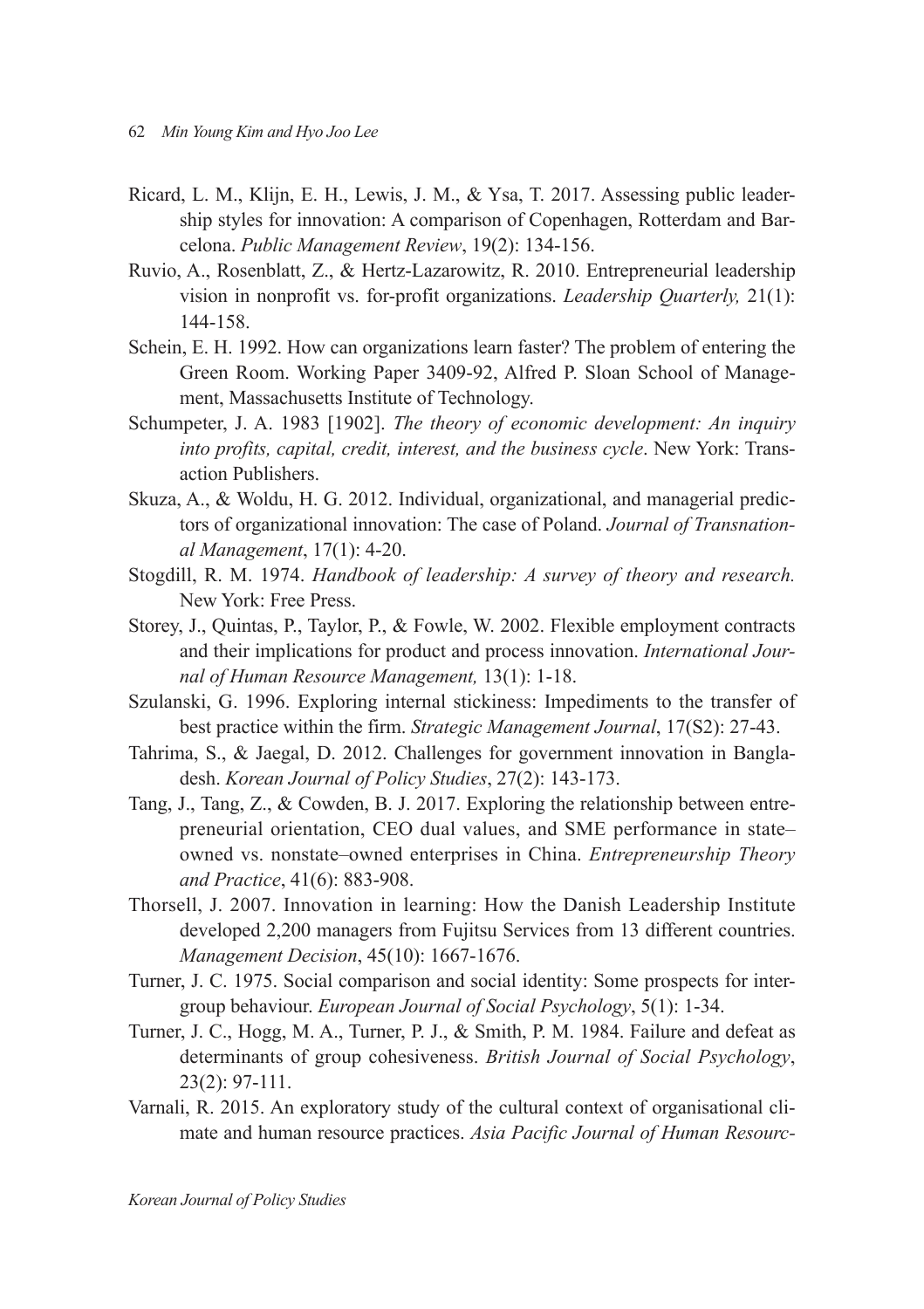- Ricard, L. M., Klijn, E. H., Lewis, J. M., & Ysa, T. 2017. Assessing public leadership styles for innovation: A comparison of Copenhagen, Rotterdam and Barcelona. *Public Management Review*, 19(2): 134-156.
- Ruvio, A., Rosenblatt, Z., & Hertz-Lazarowitz, R. 2010. Entrepreneurial leadership vision in nonprofit vs. for-profit organizations. *Leadership Quarterly,* 21(1): 144-158.
- Schein, E. H. 1992. How can organizations learn faster? The problem of entering the Green Room. Working Paper 3409-92, Alfred P. Sloan School of Management, Massachusetts Institute of Technology.
- Schumpeter, J. A. 1983 [1902]. *The theory of economic development: An inquiry into profits, capital, credit, interest, and the business cycle*. New York: Transaction Publishers.
- Skuza, A., & Woldu, H. G. 2012. Individual, organizational, and managerial predictors of organizational innovation: The case of Poland. *Journal of Transnational Management*, 17(1): 4-20.
- Stogdill, R. M. 1974. *Handbook of leadership: A survey of theory and research.*  New York: Free Press.
- Storey, J., Quintas, P., Taylor, P., & Fowle, W. 2002. Flexible employment contracts and their implications for product and process innovation. *International Journal of Human Resource Management,* 13(1): 1-18.
- Szulanski, G. 1996. Exploring internal stickiness: Impediments to the transfer of best practice within the firm. *Strategic Management Journal*, 17(S2): 27-43.
- Tahrima, S., & Jaegal, D. 2012. Challenges for government innovation in Bangladesh. *Korean Journal of Policy Studies*, 27(2): 143-173.
- Tang, J., Tang, Z., & Cowden, B. J. 2017. Exploring the relationship between entrepreneurial orientation, CEO dual values, and SME performance in state– owned vs. nonstate–owned enterprises in China. *Entrepreneurship Theory and Practice*, 41(6): 883-908.
- Thorsell, J. 2007. Innovation in learning: How the Danish Leadership Institute developed 2,200 managers from Fujitsu Services from 13 different countries. *Management Decision*, 45(10): 1667-1676.
- Turner, J. C. 1975. Social comparison and social identity: Some prospects for intergroup behaviour. *European Journal of Social Psychology*, 5(1): 1-34.
- Turner, J. C., Hogg, M. A., Turner, P. J., & Smith, P. M. 1984. Failure and defeat as determinants of group cohesiveness. *British Journal of Social Psychology*, 23(2): 97-111.
- Varnali, R. 2015. An exploratory study of the cultural context of organisational climate and human resource practices. *Asia Pacific Journal of Human Resourc-*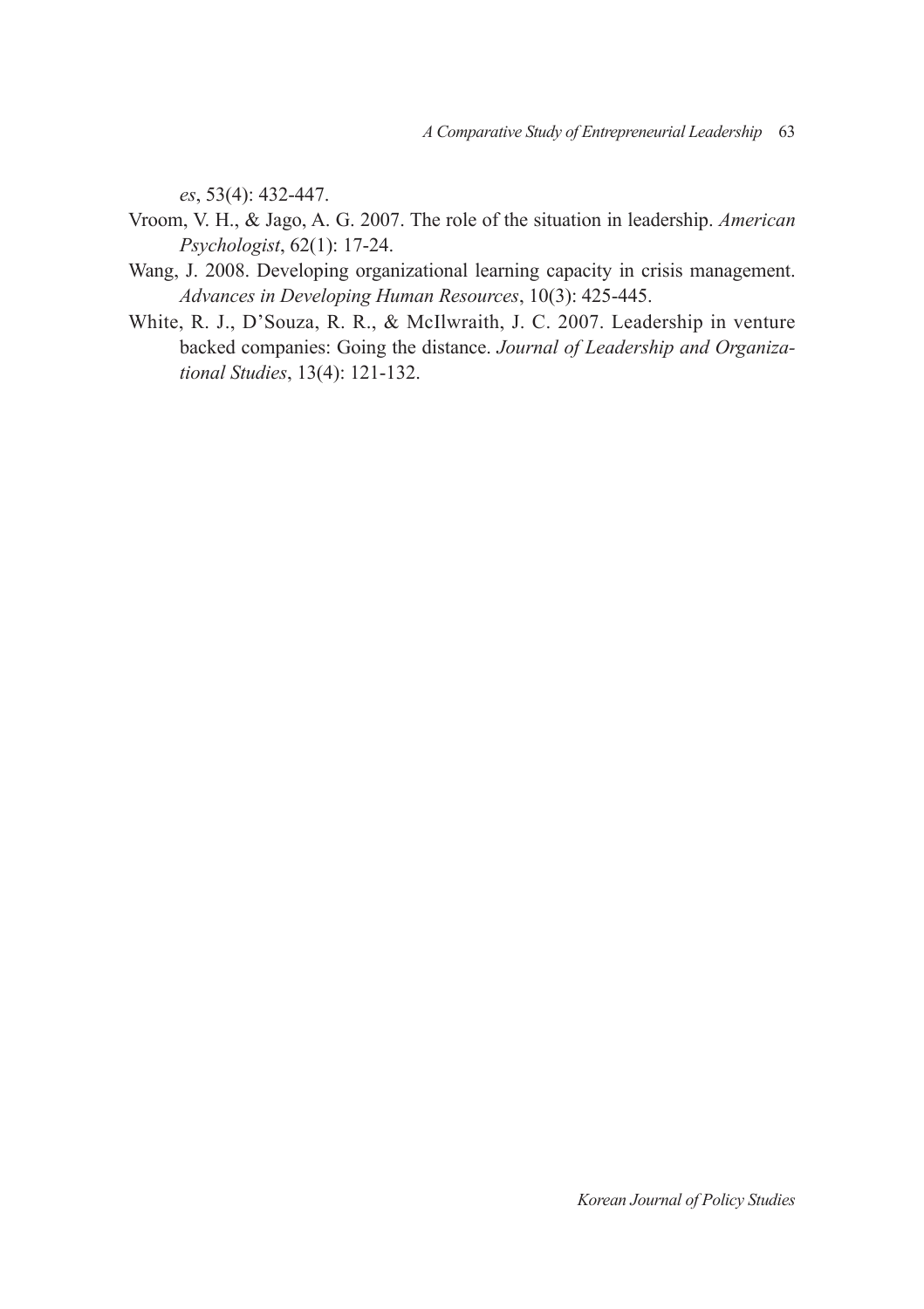*es*, 53(4): 432-447.

- Vroom, V. H., & Jago, A. G. 2007. The role of the situation in leadership. *American Psychologist*, 62(1): 17-24.
- Wang, J. 2008. Developing organizational learning capacity in crisis management. *Advances in Developing Human Resources*, 10(3): 425-445.
- White, R. J., D'Souza, R. R., & McIlwraith, J. C. 2007. Leadership in venture backed companies: Going the distance. *Journal of Leadership and Organizational Studies*, 13(4): 121-132.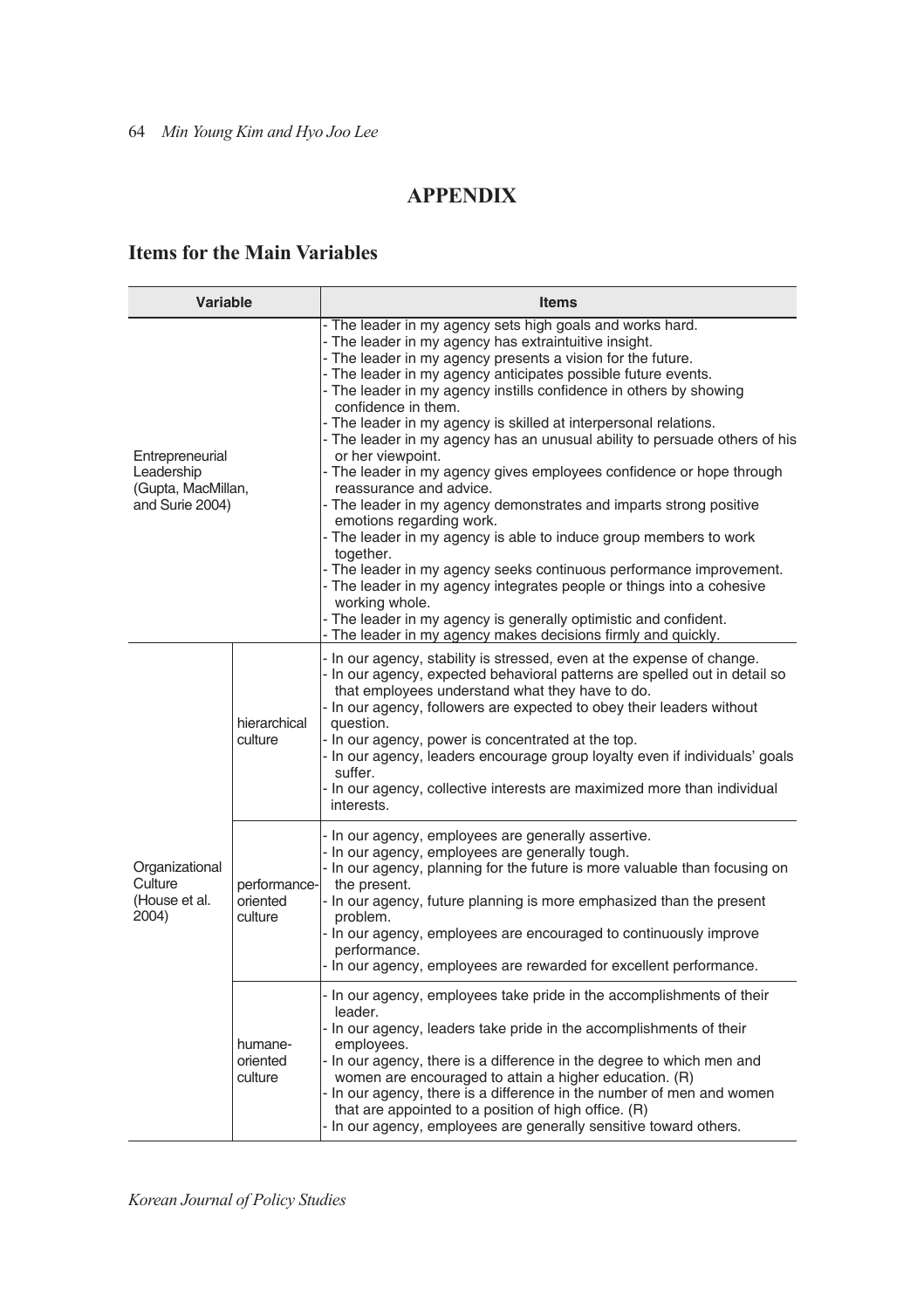# **APPENDIX**

# **Items for the Main Variables**

| Variable                                                                                   |                                | <b>Items</b>                                                                                                                                                                                                                                                                                                                                                                                                                                                                                                                                                                                                                                                                                                                                                                                                                                                                                                                                                                                                                                                                                                         |
|--------------------------------------------------------------------------------------------|--------------------------------|----------------------------------------------------------------------------------------------------------------------------------------------------------------------------------------------------------------------------------------------------------------------------------------------------------------------------------------------------------------------------------------------------------------------------------------------------------------------------------------------------------------------------------------------------------------------------------------------------------------------------------------------------------------------------------------------------------------------------------------------------------------------------------------------------------------------------------------------------------------------------------------------------------------------------------------------------------------------------------------------------------------------------------------------------------------------------------------------------------------------|
| Entrepreneurial<br>Leadership<br>(Gupta, MacMillan,<br>and Surie 2004)                     |                                | - The leader in my agency sets high goals and works hard.<br>- The leader in my agency has extraintuitive insight.<br>- The leader in my agency presents a vision for the future.<br>- The leader in my agency anticipates possible future events.<br>- The leader in my agency instills confidence in others by showing<br>confidence in them.<br>- The leader in my agency is skilled at interpersonal relations.<br>- The leader in my agency has an unusual ability to persuade others of his<br>or her viewpoint.<br>- The leader in my agency gives employees confidence or hope through<br>reassurance and advice.<br>- The leader in my agency demonstrates and imparts strong positive<br>emotions regarding work.<br>- The leader in my agency is able to induce group members to work<br>together.<br>- The leader in my agency seeks continuous performance improvement.<br>- The leader in my agency integrates people or things into a cohesive<br>working whole.<br>- The leader in my agency is generally optimistic and confident.<br>- The leader in my agency makes decisions firmly and quickly. |
|                                                                                            | hierarchical<br>culture        | - In our agency, stability is stressed, even at the expense of change.<br>- In our agency, expected behavioral patterns are spelled out in detail so<br>that employees understand what they have to do.<br>- In our agency, followers are expected to obey their leaders without<br>question.<br>- In our agency, power is concentrated at the top.<br>- In our agency, leaders encourage group loyalty even if individuals' goals<br>suffer.<br>- In our agency, collective interests are maximized more than individual<br>interests.                                                                                                                                                                                                                                                                                                                                                                                                                                                                                                                                                                              |
| Organizational<br>Culture<br>performance-<br>(House et al.<br>oriented<br>2004)<br>culture |                                | - In our agency, employees are generally assertive.<br>- In our agency, employees are generally tough.<br>- In our agency, planning for the future is more valuable than focusing on<br>the present.<br>- In our agency, future planning is more emphasized than the present<br>problem.<br>- In our agency, employees are encouraged to continuously improve<br>performance.<br>- In our agency, employees are rewarded for excellent performance.                                                                                                                                                                                                                                                                                                                                                                                                                                                                                                                                                                                                                                                                  |
|                                                                                            | humane-<br>oriented<br>culture | - In our agency, employees take pride in the accomplishments of their<br>leader.<br>- In our agency, leaders take pride in the accomplishments of their<br>employees.<br>- In our agency, there is a difference in the degree to which men and<br>women are encouraged to attain a higher education. (R)<br>- In our agency, there is a difference in the number of men and women<br>that are appointed to a position of high office. (R)<br>- In our agency, employees are generally sensitive toward others.                                                                                                                                                                                                                                                                                                                                                                                                                                                                                                                                                                                                       |